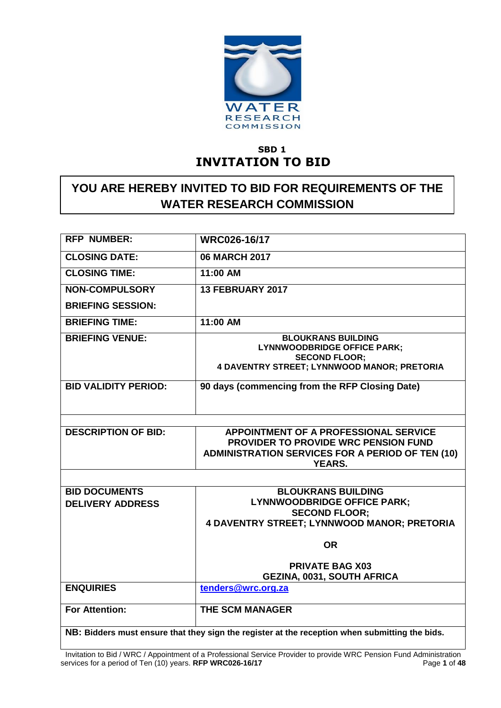

# **SBD 1 INVITATION TO BID**

# **YOU ARE HEREBY INVITED TO BID FOR REQUIREMENTS OF THE WATER RESEARCH COMMISSION**

| <b>RFP NUMBER:</b>                                                                             | <b>WRC026-16/17</b>                                                                                                                                       |  |  |  |
|------------------------------------------------------------------------------------------------|-----------------------------------------------------------------------------------------------------------------------------------------------------------|--|--|--|
| <b>CLOSING DATE:</b>                                                                           | <b>06 MARCH 2017</b>                                                                                                                                      |  |  |  |
| <b>CLOSING TIME:</b>                                                                           | 11:00 AM                                                                                                                                                  |  |  |  |
| <b>NON-COMPULSORY</b>                                                                          | <b>13 FEBRUARY 2017</b>                                                                                                                                   |  |  |  |
| <b>BRIEFING SESSION:</b>                                                                       |                                                                                                                                                           |  |  |  |
| <b>BRIEFING TIME:</b>                                                                          | 11:00 AM                                                                                                                                                  |  |  |  |
| <b>BRIEFING VENUE:</b>                                                                         | <b>BLOUKRANS BUILDING</b><br><b>LYNNWOODBRIDGE OFFICE PARK;</b><br><b>SECOND FLOOR;</b><br>4 DAVENTRY STREET; LYNNWOOD MANOR; PRETORIA                    |  |  |  |
| <b>BID VALIDITY PERIOD:</b>                                                                    | 90 days (commencing from the RFP Closing Date)                                                                                                            |  |  |  |
|                                                                                                |                                                                                                                                                           |  |  |  |
| <b>DESCRIPTION OF BID:</b>                                                                     | APPOINTMENT OF A PROFESSIONAL SERVICE<br>PROVIDER TO PROVIDE WRC PENSION FUND<br><b>ADMINISTRATION SERVICES FOR A PERIOD OF TEN (10)</b><br><b>YEARS.</b> |  |  |  |
|                                                                                                |                                                                                                                                                           |  |  |  |
| <b>BID DOCUMENTS</b>                                                                           | <b>BLOUKRANS BUILDING</b>                                                                                                                                 |  |  |  |
| <b>DELIVERY ADDRESS</b>                                                                        | <b>LYNNWOODBRIDGE OFFICE PARK;</b>                                                                                                                        |  |  |  |
|                                                                                                | <b>SECOND FLOOR:</b><br>4 DAVENTRY STREET; LYNNWOOD MANOR; PRETORIA                                                                                       |  |  |  |
|                                                                                                |                                                                                                                                                           |  |  |  |
|                                                                                                | <b>OR</b>                                                                                                                                                 |  |  |  |
|                                                                                                | <b>PRIVATE BAG X03</b>                                                                                                                                    |  |  |  |
|                                                                                                | GEZINA, 0031, SOUTH AFRICA                                                                                                                                |  |  |  |
| <b>ENQUIRIES</b>                                                                               | tenders@wrc.org.za                                                                                                                                        |  |  |  |
| <b>For Attention:</b>                                                                          | <b>THE SCM MANAGER</b>                                                                                                                                    |  |  |  |
| NB: Bidders must ensure that they sign the register at the reception when submitting the bids. |                                                                                                                                                           |  |  |  |

Invitation to Bid / WRC / Appointment of a Professional Service Provider to provide WRC Pension Fund Administration services for a period of Ten (10) years. **RFP WRC026-16/17** Page **1** of **48**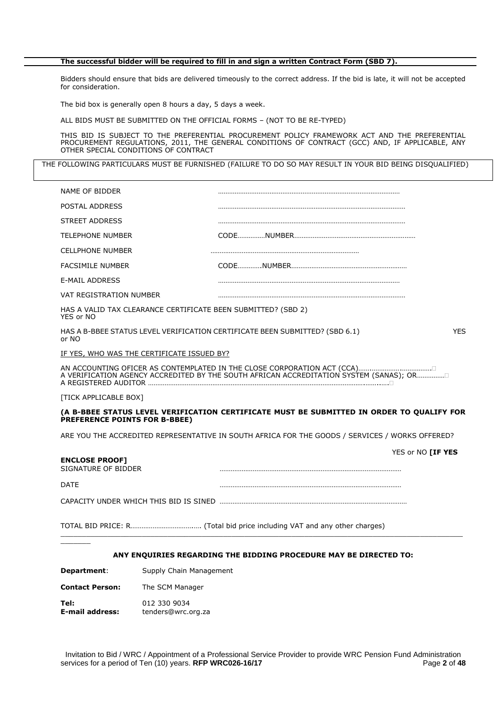#### **The successful bidder will be required to fill in and sign a written Contract Form (SBD 7).**

Bidders should ensure that bids are delivered timeously to the correct address. If the bid is late, it will not be accepted for consideration.

The bid box is generally open 8 hours a day, 5 days a week.

ALL BIDS MUST BE SUBMITTED ON THE OFFICIAL FORMS – (NOT TO BE RE-TYPED)

THIS BID IS SUBJECT TO THE PREFERENTIAL PROCUREMENT POLICY FRAMEWORK ACT AND THE PREFERENTIAL PROCUREMENT REGULATIONS, 2011, THE GENERAL CONDITIONS OF CONTRACT (GCC) AND, IF APPLICABLE, ANY OTHER SPECIAL CONDITIONS OF CONTRACT

THE FOLLOWING PARTICULARS MUST BE FURNISHED (FAILURE TO DO SO MAY RESULT IN YOUR BID BEING DISQUALIFIED)

| Supply Chain Management<br>Department:                                     |                                                                                                 |
|----------------------------------------------------------------------------|-------------------------------------------------------------------------------------------------|
|                                                                            | ANY ENQUIRIES REGARDING THE BIDDING PROCEDURE MAY BE DIRECTED TO:                               |
|                                                                            |                                                                                                 |
|                                                                            |                                                                                                 |
| <b>DATE</b>                                                                |                                                                                                 |
| <b>ENCLOSE PROOF]</b><br>SIGNATURE OF BIDDER                               | YES or NO [IF YES                                                                               |
|                                                                            | ARE YOU THE ACCREDITED REPRESENTATIVE IN SOUTH AFRICA FOR THE GOODS / SERVICES / WORKS OFFERED? |
| PREFERENCE POINTS FOR B-BBEE)                                              | (A B-BBEE STATUS LEVEL VERIFICATION CERTIFICATE MUST BE SUBMITTED IN ORDER TO QUALIFY FOR       |
| [TICK APPLICABLE BOX]                                                      |                                                                                                 |
|                                                                            | A VERIFICATION AGENCY ACCREDITED BY THE SOUTH AFRICAN ACCREDITATION SYSTEM (SANAS); OR          |
| IF YES, WHO WAS THE CERTIFICATE ISSUED BY?                                 |                                                                                                 |
| or NO                                                                      |                                                                                                 |
|                                                                            | HAS A B-BBEE STATUS LEVEL VERIFICATION CERTIFICATE BEEN SUBMITTED? (SBD 6.1)<br><b>YES</b>      |
| HAS A VALID TAX CLEARANCE CERTIFICATE BEEN SUBMITTED? (SBD 2)<br>YES or NO |                                                                                                 |
| VAT REGISTRATION NUMBER                                                    |                                                                                                 |
| <b>E-MAIL ADDRESS</b>                                                      |                                                                                                 |
| <b>FACSIMILE NUMBER</b>                                                    |                                                                                                 |
| <b>CELLPHONE NUMBER</b>                                                    |                                                                                                 |
| <b>TELEPHONE NUMBER</b>                                                    |                                                                                                 |
| STREET ADDRESS                                                             |                                                                                                 |
| POSTAL ADDRESS                                                             |                                                                                                 |
| NAME OF BIDDER                                                             |                                                                                                 |

**Contact Person:** The SCM Manager

**Tel:** 012 330 9034<br> **E-mail address:** tenders@wrc.c **E-mail address:** tenders@wrc.org.za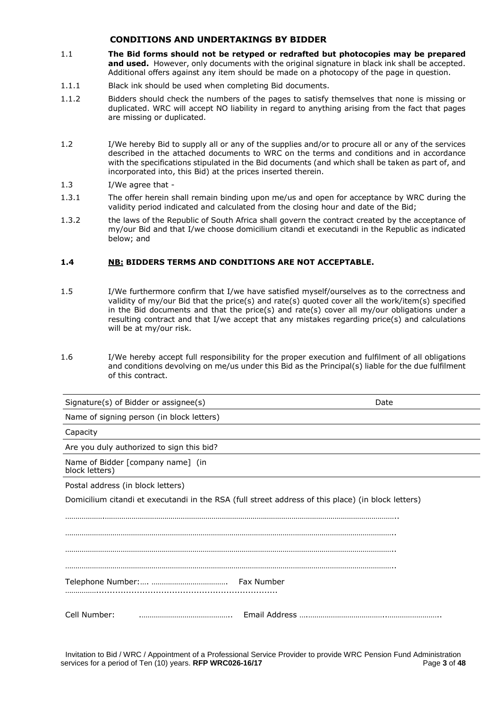#### **CONDITIONS AND UNDERTAKINGS BY BIDDER**

- 1.1 **The Bid forms should not be retyped or redrafted but photocopies may be prepared**  and used. However, only documents with the original signature in black ink shall be accepted. Additional offers against any item should be made on a photocopy of the page in question.
- 1.1.1 Black ink should be used when completing Bid documents.
- 1.1.2 Bidders should check the numbers of the pages to satisfy themselves that none is missing or duplicated. WRC will accept NO liability in regard to anything arising from the fact that pages are missing or duplicated.
- 1.2 I/We hereby Bid to supply all or any of the supplies and/or to procure all or any of the services described in the attached documents to WRC on the terms and conditions and in accordance with the specifications stipulated in the Bid documents (and which shall be taken as part of, and incorporated into, this Bid) at the prices inserted therein.

#### 1.3 I/We agree that -

- 1.3.1 The offer herein shall remain binding upon me/us and open for acceptance by WRC during the validity period indicated and calculated from the closing hour and date of the Bid;
- 1.3.2 the laws of the Republic of South Africa shall govern the contract created by the acceptance of my/our Bid and that I/we choose domicilium citandi et executandi in the Republic as indicated below; and

#### **1.4 NB: BIDDERS TERMS AND CONDITIONS ARE NOT ACCEPTABLE.**

- 1.5 I/We furthermore confirm that I/we have satisfied myself/ourselves as to the correctness and validity of my/our Bid that the price(s) and rate(s) quoted cover all the work/item(s) specified in the Bid documents and that the price(s) and rate(s) cover all my/our obligations under a resulting contract and that I/we accept that any mistakes regarding price(s) and calculations will be at my/our risk.
- 1.6 I/We hereby accept full responsibility for the proper execution and fulfilment of all obligations and conditions devolving on me/us under this Bid as the Principal(s) liable for the due fulfilment of this contract.

| Signature(s) of Bidder or assignee(s)               | Date                                                                                               |
|-----------------------------------------------------|----------------------------------------------------------------------------------------------------|
| Name of signing person (in block letters)           |                                                                                                    |
| Capacity                                            |                                                                                                    |
| Are you duly authorized to sign this bid?           |                                                                                                    |
| Name of Bidder [company name] (in<br>block letters) |                                                                                                    |
| Postal address (in block letters)                   |                                                                                                    |
|                                                     | Domicilium citandi et executandi in the RSA (full street address of this place) (in block letters) |
|                                                     |                                                                                                    |
|                                                     |                                                                                                    |
|                                                     |                                                                                                    |
|                                                     |                                                                                                    |
|                                                     |                                                                                                    |
|                                                     |                                                                                                    |
| Cell Number:                                        |                                                                                                    |

Invitation to Bid / WRC / Appointment of a Professional Service Provider to provide WRC Pension Fund Administration services for a period of Ten (10) years. **RFP WRC026-16/17** Page 1 and **Page 3** of 48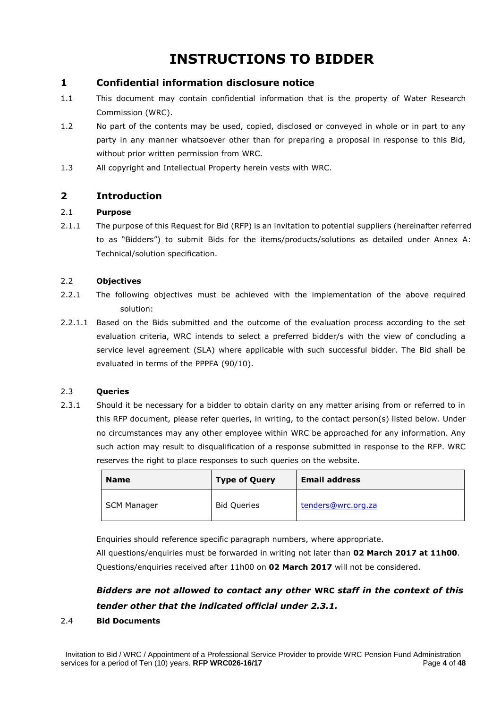# **INSTRUCTIONS TO BIDDER**

## **1 Confidential information disclosure notice**

- 1.1 This document may contain confidential information that is the property of Water Research Commission (WRC).
- 1.2 No part of the contents may be used, copied, disclosed or conveyed in whole or in part to any party in any manner whatsoever other than for preparing a proposal in response to this Bid, without prior written permission from WRC.
- 1.3 All copyright and Intellectual Property herein vests with WRC.

## **2 Introduction**

#### 2.1 **Purpose**

2.1.1 The purpose of this Request for Bid (RFP) is an invitation to potential suppliers (hereinafter referred to as "Bidders") to submit Bids for the items/products/solutions as detailed under Annex A: Technical/solution specification.

#### 2.2 **Objectives**

- 2.2.1 The following objectives must be achieved with the implementation of the above required solution:
- 2.2.1.1 Based on the Bids submitted and the outcome of the evaluation process according to the set evaluation criteria, WRC intends to select a preferred bidder/s with the view of concluding a service level agreement (SLA) where applicable with such successful bidder. The Bid shall be evaluated in terms of the PPPFA (90/10).

#### 2.3 **Queries**

2.3.1 Should it be necessary for a bidder to obtain clarity on any matter arising from or referred to in this RFP document, please refer queries, in writing, to the contact person(s) listed below. Under no circumstances may any other employee within WRC be approached for any information. Any such action may result to disqualification of a response submitted in response to the RFP. WRC reserves the right to place responses to such queries on the website.

| <b>Name</b> | <b>Type of Query</b> | <b>Email address</b> |
|-------------|----------------------|----------------------|
| SCM Manager | <b>Bid Queries</b>   | tenders@wrc.org.za   |

Enquiries should reference specific paragraph numbers, where appropriate.

All questions/enquiries must be forwarded in writing not later than **02 March 2017 at 11h00**. Questions/enquiries received after 11h00 on **02 March 2017** will not be considered.

# *Bidders are not allowed to contact any other* **WRC** *staff in the context of this tender other that the indicated official under 2.3.1.*

#### 2.4 **Bid Documents**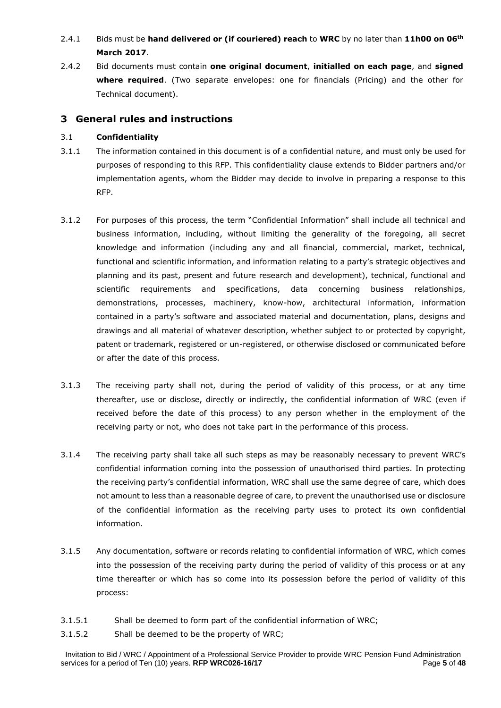## 2.4.1 Bids must be **hand delivered or (if couriered) reach** to **WRC** by no later than **11h00 on 06th March 2017**.

2.4.2 Bid documents must contain **one original document**, **initialled on each page**, and **signed where required**. (Two separate envelopes: one for financials (Pricing) and the other for Technical document).

### **3 General rules and instructions**

#### 3.1 **Confidentiality**

- 3.1.1 The information contained in this document is of a confidential nature, and must only be used for purposes of responding to this RFP. This confidentiality clause extends to Bidder partners and/or implementation agents, whom the Bidder may decide to involve in preparing a response to this RFP.
- 3.1.2 For purposes of this process, the term "Confidential Information" shall include all technical and business information, including, without limiting the generality of the foregoing, all secret knowledge and information (including any and all financial, commercial, market, technical, functional and scientific information, and information relating to a party's strategic objectives and planning and its past, present and future research and development), technical, functional and scientific requirements and specifications, data concerning business relationships, demonstrations, processes, machinery, know-how, architectural information, information contained in a party's software and associated material and documentation, plans, designs and drawings and all material of whatever description, whether subject to or protected by copyright, patent or trademark, registered or un-registered, or otherwise disclosed or communicated before or after the date of this process.
- 3.1.3 The receiving party shall not, during the period of validity of this process, or at any time thereafter, use or disclose, directly or indirectly, the confidential information of WRC (even if received before the date of this process) to any person whether in the employment of the receiving party or not, who does not take part in the performance of this process.
- 3.1.4 The receiving party shall take all such steps as may be reasonably necessary to prevent WRC's confidential information coming into the possession of unauthorised third parties. In protecting the receiving party's confidential information, WRC shall use the same degree of care, which does not amount to less than a reasonable degree of care, to prevent the unauthorised use or disclosure of the confidential information as the receiving party uses to protect its own confidential information.
- 3.1.5 Any documentation, software or records relating to confidential information of WRC, which comes into the possession of the receiving party during the period of validity of this process or at any time thereafter or which has so come into its possession before the period of validity of this process:
- 3.1.5.1 Shall be deemed to form part of the confidential information of WRC;
- 3.1.5.2 Shall be deemed to be the property of WRC;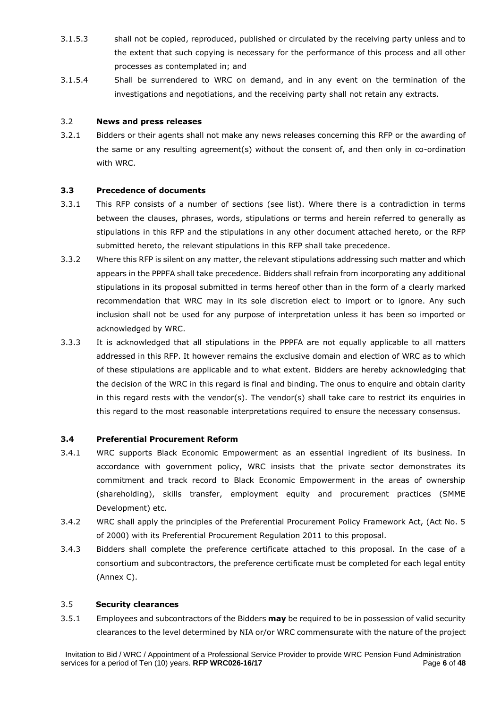- 3.1.5.3 shall not be copied, reproduced, published or circulated by the receiving party unless and to the extent that such copying is necessary for the performance of this process and all other processes as contemplated in; and
- 3.1.5.4 Shall be surrendered to WRC on demand, and in any event on the termination of the investigations and negotiations, and the receiving party shall not retain any extracts.

#### 3.2 **News and press releases**

3.2.1 Bidders or their agents shall not make any news releases concerning this RFP or the awarding of the same or any resulting agreement(s) without the consent of, and then only in co-ordination with WRC.

#### **3.3 Precedence of documents**

- 3.3.1 This RFP consists of a number of sections (see list). Where there is a contradiction in terms between the clauses, phrases, words, stipulations or terms and herein referred to generally as stipulations in this RFP and the stipulations in any other document attached hereto, or the RFP submitted hereto, the relevant stipulations in this RFP shall take precedence.
- 3.3.2 Where this RFP is silent on any matter, the relevant stipulations addressing such matter and which appears in the PPPFA shall take precedence. Bidders shall refrain from incorporating any additional stipulations in its proposal submitted in terms hereof other than in the form of a clearly marked recommendation that WRC may in its sole discretion elect to import or to ignore. Any such inclusion shall not be used for any purpose of interpretation unless it has been so imported or acknowledged by WRC.
- 3.3.3 It is acknowledged that all stipulations in the PPPFA are not equally applicable to all matters addressed in this RFP. It however remains the exclusive domain and election of WRC as to which of these stipulations are applicable and to what extent. Bidders are hereby acknowledging that the decision of the WRC in this regard is final and binding. The onus to enguire and obtain clarity in this regard rests with the vendor(s). The vendor(s) shall take care to restrict its enquiries in this regard to the most reasonable interpretations required to ensure the necessary consensus.

#### **3.4 Preferential Procurement Reform**

- 3.4.1 WRC supports Black Economic Empowerment as an essential ingredient of its business. In accordance with government policy, WRC insists that the private sector demonstrates its commitment and track record to Black Economic Empowerment in the areas of ownership (shareholding), skills transfer, employment equity and procurement practices (SMME Development) etc.
- 3.4.2 WRC shall apply the principles of the Preferential Procurement Policy Framework Act, (Act No. 5 of 2000) with its Preferential Procurement Regulation 2011 to this proposal.
- 3.4.3 Bidders shall complete the preference certificate attached to this proposal. In the case of a consortium and subcontractors, the preference certificate must be completed for each legal entity (Annex C).

#### 3.5 **Security clearances**

3.5.1 Employees and subcontractors of the Bidders **may** be required to be in possession of valid security clearances to the level determined by NIA or/or WRC commensurate with the nature of the project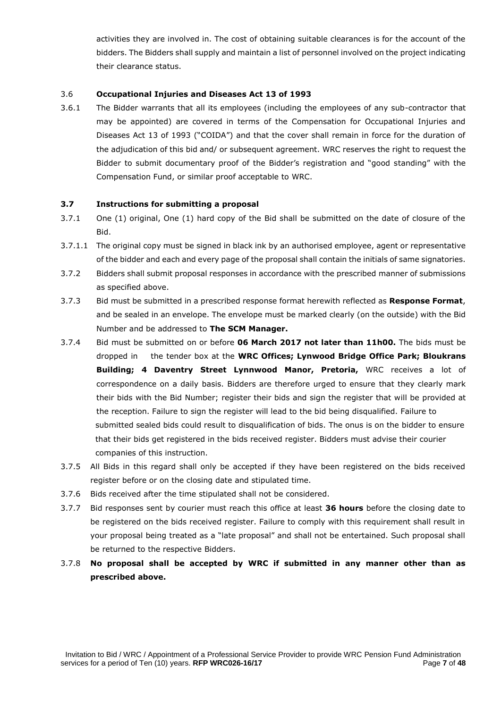activities they are involved in. The cost of obtaining suitable clearances is for the account of the bidders. The Bidders shall supply and maintain a list of personnel involved on the project indicating their clearance status.

#### 3.6 **Occupational Injuries and Diseases Act 13 of 1993**

3.6.1 The Bidder warrants that all its employees (including the employees of any sub-contractor that may be appointed) are covered in terms of the Compensation for Occupational Injuries and Diseases Act 13 of 1993 ("COIDA") and that the cover shall remain in force for the duration of the adjudication of this bid and/ or subsequent agreement. WRC reserves the right to request the Bidder to submit documentary proof of the Bidder's registration and "good standing" with the Compensation Fund, or similar proof acceptable to WRC.

#### **3.7 Instructions for submitting a proposal**

- 3.7.1 One (1) original, One (1) hard copy of the Bid shall be submitted on the date of closure of the Bid.
- 3.7.1.1 The original copy must be signed in black ink by an authorised employee, agent or representative of the bidder and each and every page of the proposal shall contain the initials of same signatories.
- 3.7.2 Bidders shall submit proposal responses in accordance with the prescribed manner of submissions as specified above.
- 3.7.3 Bid must be submitted in a prescribed response format herewith reflected as **Response Format**, and be sealed in an envelope. The envelope must be marked clearly (on the outside) with the Bid Number and be addressed to **The SCM Manager.**
- 3.7.4 Bid must be submitted on or before **06 March 2017 not later than 11h00.** The bids must be dropped in the tender box at the **WRC Offices; Lynwood Bridge Office Park; Bloukrans Building; 4 Daventry Street Lynnwood Manor, Pretoria,** WRC receives a lot of correspondence on a daily basis. Bidders are therefore urged to ensure that they clearly mark their bids with the Bid Number; register their bids and sign the register that will be provided at the reception. Failure to sign the register will lead to the bid being disqualified. Failure to submitted sealed bids could result to disqualification of bids. The onus is on the bidder to ensure that their bids get registered in the bids received register. Bidders must advise their courier companies of this instruction.
- 3.7.5 All Bids in this regard shall only be accepted if they have been registered on the bids received register before or on the closing date and stipulated time.
- 3.7.6 Bids received after the time stipulated shall not be considered.
- 3.7.7 Bid responses sent by courier must reach this office at least **36 hours** before the closing date to be registered on the bids received register. Failure to comply with this requirement shall result in your proposal being treated as a "late proposal" and shall not be entertained. Such proposal shall be returned to the respective Bidders.
- 3.7.8 **No proposal shall be accepted by WRC if submitted in any manner other than as prescribed above.**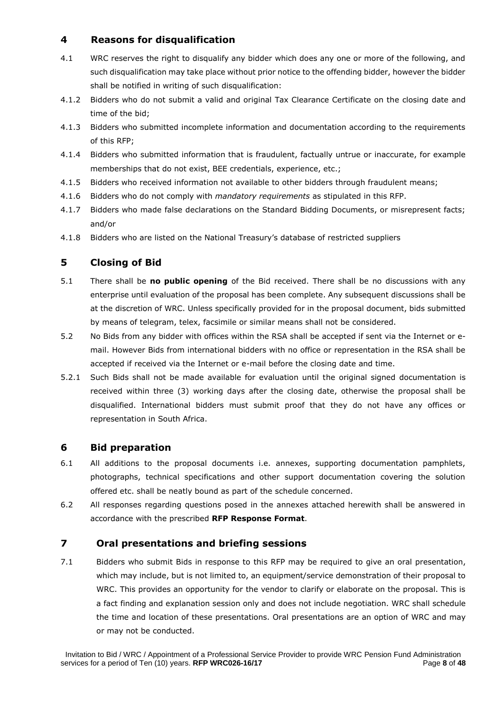## **4 Reasons for disqualification**

- 4.1 WRC reserves the right to disqualify any bidder which does any one or more of the following, and such disqualification may take place without prior notice to the offending bidder, however the bidder shall be notified in writing of such disqualification:
- 4.1.2 Bidders who do not submit a valid and original Tax Clearance Certificate on the closing date and time of the bid;
- 4.1.3 Bidders who submitted incomplete information and documentation according to the requirements of this RFP;
- 4.1.4 Bidders who submitted information that is fraudulent, factually untrue or inaccurate, for example memberships that do not exist, BEE credentials, experience, etc.;
- 4.1.5 Bidders who received information not available to other bidders through fraudulent means;
- 4.1.6 Bidders who do not comply with *mandatory requirements* as stipulated in this RFP.
- 4.1.7 Bidders who made false declarations on the Standard Bidding Documents, or misrepresent facts; and/or
- 4.1.8 Bidders who are listed on the National Treasury's database of restricted suppliers

## **5 Closing of Bid**

- 5.1 There shall be **no public opening** of the Bid received. There shall be no discussions with any enterprise until evaluation of the proposal has been complete. Any subsequent discussions shall be at the discretion of WRC. Unless specifically provided for in the proposal document, bids submitted by means of telegram, telex, facsimile or similar means shall not be considered.
- 5.2 No Bids from any bidder with offices within the RSA shall be accepted if sent via the Internet or email. However Bids from international bidders with no office or representation in the RSA shall be accepted if received via the Internet or e-mail before the closing date and time.
- 5.2.1 Such Bids shall not be made available for evaluation until the original signed documentation is received within three (3) working days after the closing date, otherwise the proposal shall be disqualified. International bidders must submit proof that they do not have any offices or representation in South Africa.

### **6 Bid preparation**

- 6.1 All additions to the proposal documents i.e. annexes, supporting documentation pamphlets, photographs, technical specifications and other support documentation covering the solution offered etc. shall be neatly bound as part of the schedule concerned.
- 6.2 All responses regarding questions posed in the annexes attached herewith shall be answered in accordance with the prescribed **RFP Response Format**.

### **7 Oral presentations and briefing sessions**

7.1 Bidders who submit Bids in response to this RFP may be required to give an oral presentation, which may include, but is not limited to, an equipment/service demonstration of their proposal to WRC. This provides an opportunity for the vendor to clarify or elaborate on the proposal. This is a fact finding and explanation session only and does not include negotiation. WRC shall schedule the time and location of these presentations. Oral presentations are an option of WRC and may or may not be conducted.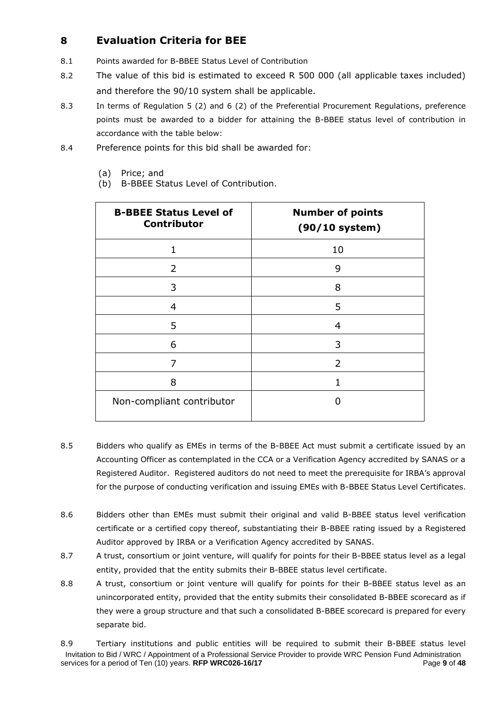# **8 Evaluation Criteria for BEE**

- 8.1 Points awarded for B-BBEE Status Level of Contribution
- 8.2 The value of this bid is estimated to exceed R 500 000 (all applicable taxes included) and therefore the 90/10 system shall be applicable.
- 8.3 In terms of Regulation 5 (2) and 6 (2) of the Preferential Procurement Regulations, preference points must be awarded to a bidder for attaining the B-BBEE status level of contribution in accordance with the table below:
- 8.4 Preference points for this bid shall be awarded for:
	- (a) Price; and
	- (b) B-BBEE Status Level of Contribution.

| <b>B-BBEE Status Level of</b><br><b>Contributor</b> | <b>Number of points</b><br>$(90/10$ system) |
|-----------------------------------------------------|---------------------------------------------|
| 1                                                   | 10                                          |
| 2                                                   | 9                                           |
| 3                                                   | 8                                           |
| 4                                                   | 5                                           |
| 5                                                   | 4                                           |
| 6                                                   | 3                                           |
| 7                                                   | 2                                           |
| 8                                                   |                                             |
| Non-compliant contributor                           |                                             |

- 8.5 Bidders who qualify as EMEs in terms of the B-BBEE Act must submit a certificate issued by an Accounting Officer as contemplated in the CCA or a Verification Agency accredited by SANAS or a Registered Auditor. Registered auditors do not need to meet the prerequisite for IRBA's approval for the purpose of conducting verification and issuing EMEs with B-BBEE Status Level Certificates.
- 8.6 Bidders other than EMEs must submit their original and valid B-BBEE status level verification certificate or a certified copy thereof, substantiating their B-BBEE rating issued by a Registered Auditor approved by IRBA or a Verification Agency accredited by SANAS.
- 8.7 A trust, consortium or joint venture, will qualify for points for their B-BBEE status level as a legal entity, provided that the entity submits their B-BBEE status level certificate.
- 8.8 A trust, consortium or joint venture will qualify for points for their B-BBEE status level as an unincorporated entity, provided that the entity submits their consolidated B-BBEE scorecard as if they were a group structure and that such a consolidated B-BBEE scorecard is prepared for every separate bid.

Invitation to Bid / WRC / Appointment of a Professional Service Provider to provide WRC Pension Fund Administration services for a period of Ten (10) years. **RFP WRC026-16/17** Page 9 of 48 8.9 Tertiary institutions and public entities will be required to submit their B-BBEE status level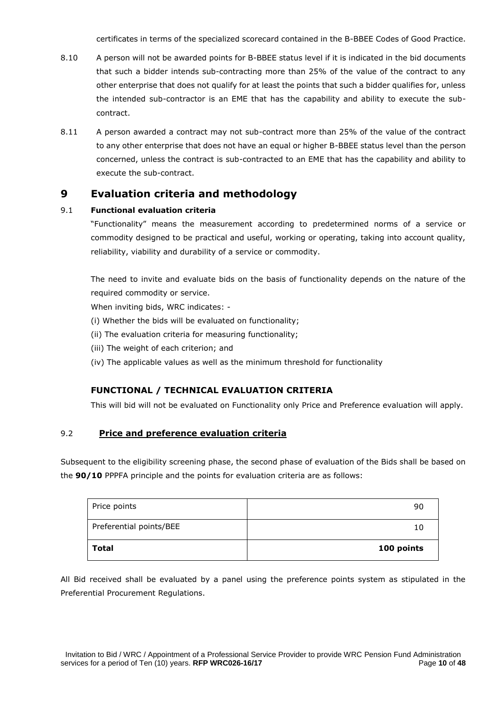certificates in terms of the specialized scorecard contained in the B-BBEE Codes of Good Practice.

- 8.10 A person will not be awarded points for B-BBEE status level if it is indicated in the bid documents that such a bidder intends sub-contracting more than 25% of the value of the contract to any other enterprise that does not qualify for at least the points that such a bidder qualifies for, unless the intended sub-contractor is an EME that has the capability and ability to execute the subcontract.
- 8.11 A person awarded a contract may not sub-contract more than 25% of the value of the contract to any other enterprise that does not have an equal or higher B-BBEE status level than the person concerned, unless the contract is sub-contracted to an EME that has the capability and ability to execute the sub-contract.

## **9 Evaluation criteria and methodology**

#### 9.1 **Functional evaluation criteria**

"Functionality" means the measurement according to predetermined norms of a service or commodity designed to be practical and useful, working or operating, taking into account quality, reliability, viability and durability of a service or commodity.

The need to invite and evaluate bids on the basis of functionality depends on the nature of the required commodity or service.

When inviting bids, WRC indicates: -

- (i) Whether the bids will be evaluated on functionality;
- (ii) The evaluation criteria for measuring functionality;
- (iii) The weight of each criterion; and
- (iv) The applicable values as well as the minimum threshold for functionality

### **FUNCTIONAL / TECHNICAL EVALUATION CRITERIA**

This will bid will not be evaluated on Functionality only Price and Preference evaluation will apply.

### 9.2 **Price and preference evaluation criteria**

Subsequent to the eligibility screening phase, the second phase of evaluation of the Bids shall be based on the **90/10** PPPFA principle and the points for evaluation criteria are as follows:

| Total                   | 100 points |
|-------------------------|------------|
| Preferential points/BEE | 10         |
| Price points            | 90         |

All Bid received shall be evaluated by a panel using the preference points system as stipulated in the Preferential Procurement Regulations.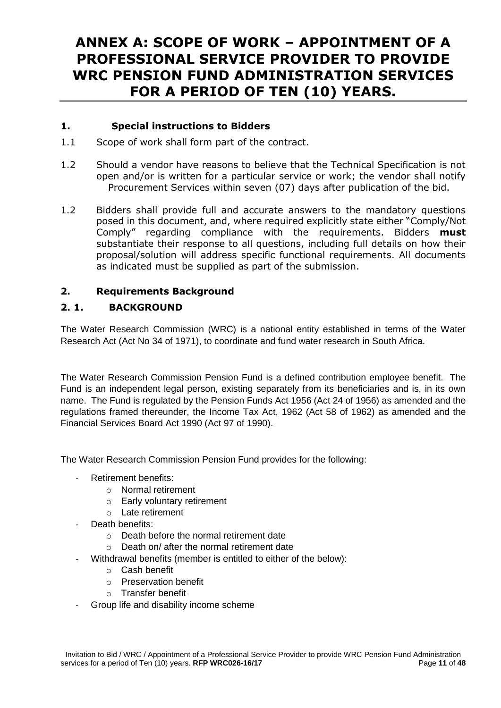# **ANNEX A: SCOPE OF WORK – APPOINTMENT OF A PROFESSIONAL SERVICE PROVIDER TO PROVIDE WRC PENSION FUND ADMINISTRATION SERVICES FOR A PERIOD OF TEN (10) YEARS.**

## **1. Special instructions to Bidders**

- 1.1 Scope of work shall form part of the contract.
- 1.2 Should a vendor have reasons to believe that the Technical Specification is not open and/or is written for a particular service or work; the vendor shall notify Procurement Services within seven (07) days after publication of the bid.
- 1.2 Bidders shall provide full and accurate answers to the mandatory questions posed in this document, and, where required explicitly state either "Comply/Not Comply" regarding compliance with the requirements. Bidders **must** substantiate their response to all questions, including full details on how their proposal/solution will address specific functional requirements. All documents as indicated must be supplied as part of the submission.

## **2. Requirements Background**

## **2. 1. BACKGROUND**

The Water Research Commission (WRC) is a national entity established in terms of the Water Research Act (Act No 34 of 1971), to coordinate and fund water research in South Africa.

The Water Research Commission Pension Fund is a defined contribution employee benefit. The Fund is an independent legal person, existing separately from its beneficiaries and is, in its own name. The Fund is regulated by the Pension Funds Act 1956 (Act 24 of 1956) as amended and the regulations framed thereunder, the Income Tax Act, 1962 (Act 58 of 1962) as amended and the Financial Services Board Act 1990 (Act 97 of 1990).

The Water Research Commission Pension Fund provides for the following:

- Retirement benefits:
	- o Normal retirement
	- o Early voluntary retirement
	- $\circ$  Late retirement
- Death benefits:
	- o Death before the normal retirement date
	- o Death on/ after the normal retirement date
	- Withdrawal benefits (member is entitled to either of the below):
		- o Cash benefit
		- o Preservation benefit
		- o Transfer benefit
- Group life and disability income scheme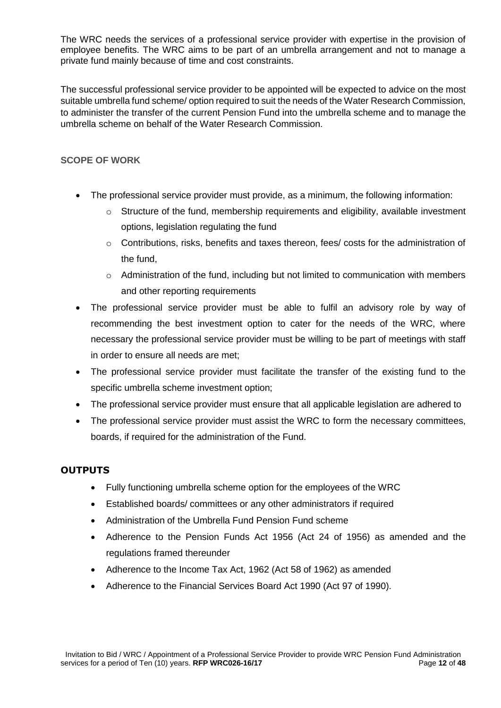The WRC needs the services of a professional service provider with expertise in the provision of employee benefits. The WRC aims to be part of an umbrella arrangement and not to manage a private fund mainly because of time and cost constraints.

The successful professional service provider to be appointed will be expected to advice on the most suitable umbrella fund scheme/ option required to suit the needs of the Water Research Commission, to administer the transfer of the current Pension Fund into the umbrella scheme and to manage the umbrella scheme on behalf of the Water Research Commission.

## **SCOPE OF WORK**

- The professional service provider must provide, as a minimum, the following information:
	- $\circ$  Structure of the fund, membership requirements and eligibility, available investment options, legislation regulating the fund
	- o Contributions, risks, benefits and taxes thereon, fees/ costs for the administration of the fund,
	- o Administration of the fund, including but not limited to communication with members and other reporting requirements
- The professional service provider must be able to fulfil an advisory role by way of recommending the best investment option to cater for the needs of the WRC, where necessary the professional service provider must be willing to be part of meetings with staff in order to ensure all needs are met;
- The professional service provider must facilitate the transfer of the existing fund to the specific umbrella scheme investment option;
- The professional service provider must ensure that all applicable legislation are adhered to
- The professional service provider must assist the WRC to form the necessary committees, boards, if required for the administration of the Fund.

## **OUTPUTS**

- Fully functioning umbrella scheme option for the employees of the WRC
- Established boards/ committees or any other administrators if required
- Administration of the Umbrella Fund Pension Fund scheme
- Adherence to the Pension Funds Act 1956 (Act 24 of 1956) as amended and the regulations framed thereunder
- Adherence to the Income Tax Act, 1962 (Act 58 of 1962) as amended
- Adherence to the Financial Services Board Act 1990 (Act 97 of 1990).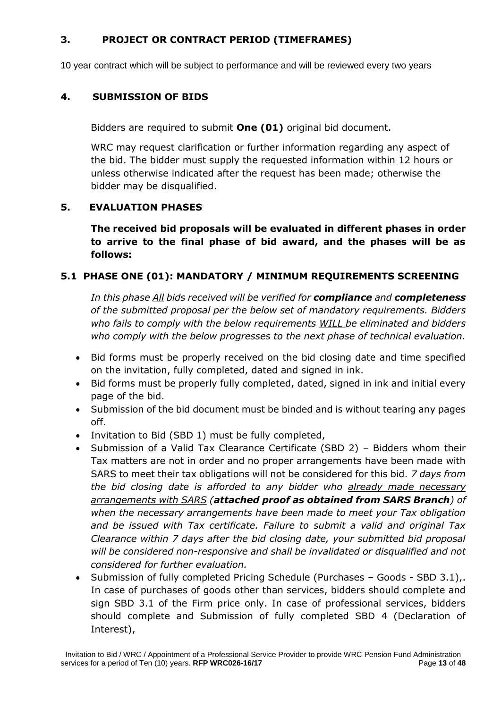## **3. PROJECT OR CONTRACT PERIOD (TIMEFRAMES)**

10 year contract which will be subject to performance and will be reviewed every two years

## **4. SUBMISSION OF BIDS**

Bidders are required to submit **One (01)** original bid document.

WRC may request clarification or further information regarding any aspect of the bid. The bidder must supply the requested information within 12 hours or unless otherwise indicated after the request has been made; otherwise the bidder may be disqualified.

## **5. EVALUATION PHASES**

**The received bid proposals will be evaluated in different phases in order to arrive to the final phase of bid award, and the phases will be as follows:**

## **5.1 PHASE ONE (01): MANDATORY / MINIMUM REQUIREMENTS SCREENING**

*In this phase All bids received will be verified for compliance and completeness of the submitted proposal per the below set of mandatory requirements. Bidders who fails to comply with the below requirements WILL be eliminated and bidders who comply with the below progresses to the next phase of technical evaluation.*

- Bid forms must be properly received on the bid closing date and time specified on the invitation, fully completed, dated and signed in ink.
- Bid forms must be properly fully completed, dated, signed in ink and initial every page of the bid.
- Submission of the bid document must be binded and is without tearing any pages off.
- Invitation to Bid (SBD 1) must be fully completed,
- Submission of a Valid Tax Clearance Certificate (SBD 2) Bidders whom their Tax matters are not in order and no proper arrangements have been made with SARS to meet their tax obligations will not be considered for this bid. *7 days from the bid closing date is afforded to any bidder who already made necessary arrangements with SARS (attached proof as obtained from SARS Branch) of when the necessary arrangements have been made to meet your Tax obligation and be issued with Tax certificate. Failure to submit a valid and original Tax Clearance within 7 days after the bid closing date, your submitted bid proposal will be considered non-responsive and shall be invalidated or disqualified and not considered for further evaluation.*
- Submission of fully completed Pricing Schedule (Purchases Goods SBD 3.1),. In case of purchases of goods other than services, bidders should complete and sign SBD 3.1 of the Firm price only. In case of professional services, bidders should complete and Submission of fully completed SBD 4 (Declaration of Interest),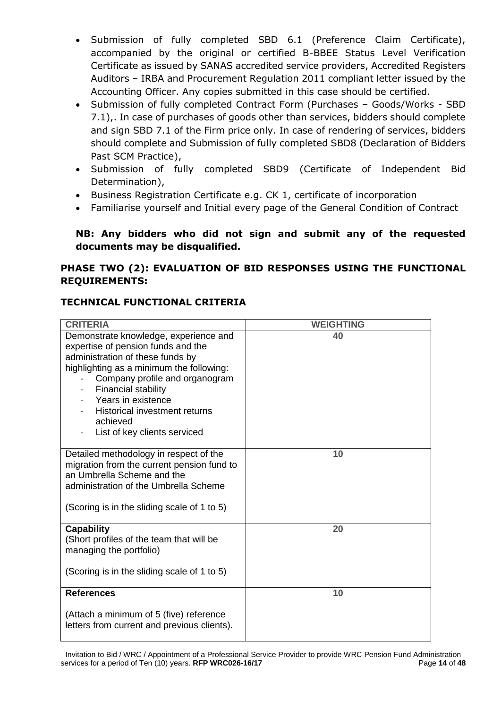- Submission of fully completed SBD 6.1 (Preference Claim Certificate), accompanied by the original or certified B-BBEE Status Level Verification Certificate as issued by SANAS accredited service providers, Accredited Registers Auditors – IRBA and Procurement Regulation 2011 compliant letter issued by the Accounting Officer. Any copies submitted in this case should be certified.
- Submission of fully completed Contract Form (Purchases Goods/Works SBD 7.1),. In case of purchases of goods other than services, bidders should complete and sign SBD 7.1 of the Firm price only. In case of rendering of services, bidders should complete and Submission of fully completed SBD8 (Declaration of Bidders Past SCM Practice),
- Submission of fully completed SBD9 (Certificate of Independent Bid Determination),
- Business Registration Certificate e.g. CK 1, certificate of incorporation
- Familiarise yourself and Initial every page of the General Condition of Contract

## **NB: Any bidders who did not sign and submit any of the requested documents may be disqualified.**

## **PHASE TWO (2): EVALUATION OF BID RESPONSES USING THE FUNCTIONAL REQUIREMENTS:**

# **TECHNICAL FUNCTIONAL CRITERIA**

| <b>CRITERIA</b>                                                                                                                                                                                                                                                                                                                       | <b>WEIGHTING</b> |
|---------------------------------------------------------------------------------------------------------------------------------------------------------------------------------------------------------------------------------------------------------------------------------------------------------------------------------------|------------------|
| Demonstrate knowledge, experience and<br>expertise of pension funds and the<br>administration of these funds by<br>highlighting as a minimum the following:<br>Company profile and organogram<br><b>Financial stability</b><br>Years in existence<br><b>Historical investment returns</b><br>achieved<br>List of key clients serviced | 40               |
| Detailed methodology in respect of the<br>migration from the current pension fund to<br>an Umbrella Scheme and the<br>administration of the Umbrella Scheme<br>(Scoring is in the sliding scale of 1 to 5)                                                                                                                            | 10               |
| <b>Capability</b><br>(Short profiles of the team that will be<br>managing the portfolio)<br>(Scoring is in the sliding scale of 1 to 5)                                                                                                                                                                                               | 20               |
| <b>References</b><br>(Attach a minimum of 5 (five) reference<br>letters from current and previous clients).                                                                                                                                                                                                                           | 10               |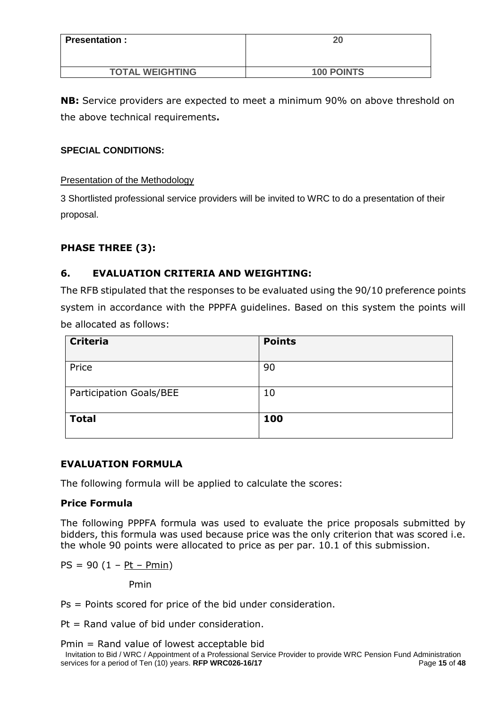| <b>Presentation:</b>   | 20                |
|------------------------|-------------------|
| <b>TOTAL WEIGHTING</b> | <b>100 POINTS</b> |

**NB:** Service providers are expected to meet a minimum 90% on above threshold on the above technical requirements**.**

## **SPECIAL CONDITIONS:**

Presentation of the Methodology

3 Shortlisted professional service providers will be invited to WRC to do a presentation of their proposal.

## **PHASE THREE (3):**

## **6. EVALUATION CRITERIA AND WEIGHTING:**

The RFB stipulated that the responses to be evaluated using the 90/10 preference points system in accordance with the PPPFA guidelines. Based on this system the points will be allocated as follows:

| <b>Criteria</b>         | <b>Points</b> |
|-------------------------|---------------|
| Price                   | 90            |
| Participation Goals/BEE | 10            |
| <b>Total</b>            | 100           |

## **EVALUATION FORMULA**

The following formula will be applied to calculate the scores:

## **Price Formula**

The following PPPFA formula was used to evaluate the price proposals submitted by bidders, this formula was used because price was the only criterion that was scored i.e. the whole 90 points were allocated to price as per par. 10.1 of this submission.

 $PS = 90 (1 - Pt - Pmin)$ 

Pmin

Ps = Points scored for price of the bid under consideration.

 $Pt = Rand$  value of bid under consideration.

Pmin = Rand value of lowest acceptable bid

Invitation to Bid / WRC / Appointment of a Professional Service Provider to provide WRC Pension Fund Administration services for a period of Ten (10) years. **RFP WRC026-16/17** Page **15** of **48**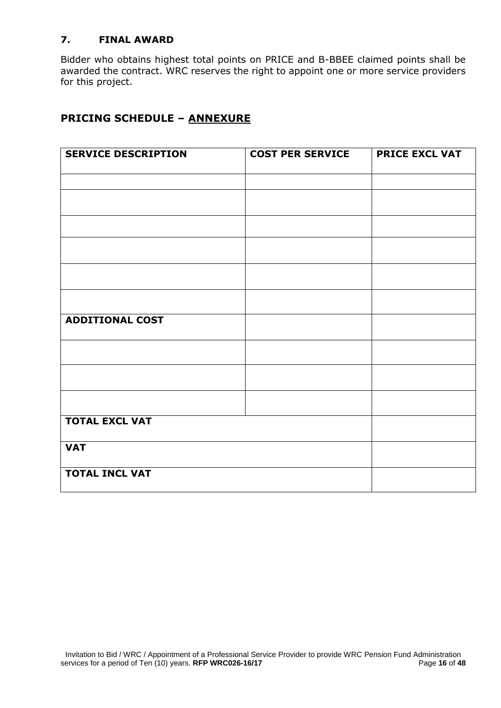## **7. FINAL AWARD**

Bidder who obtains highest total points on PRICE and B-BBEE claimed points shall be awarded the contract. WRC reserves the right to appoint one or more service providers for this project.

# **PRICING SCHEDULE – ANNEXURE**

| <b>SERVICE DESCRIPTION</b> | <b>COST PER SERVICE</b> | <b>PRICE EXCL VAT</b> |
|----------------------------|-------------------------|-----------------------|
|                            |                         |                       |
|                            |                         |                       |
|                            |                         |                       |
|                            |                         |                       |
|                            |                         |                       |
|                            |                         |                       |
| <b>ADDITIONAL COST</b>     |                         |                       |
|                            |                         |                       |
|                            |                         |                       |
|                            |                         |                       |
| <b>TOTAL EXCL VAT</b>      |                         |                       |
| <b>VAT</b>                 |                         |                       |
| <b>TOTAL INCL VAT</b>      |                         |                       |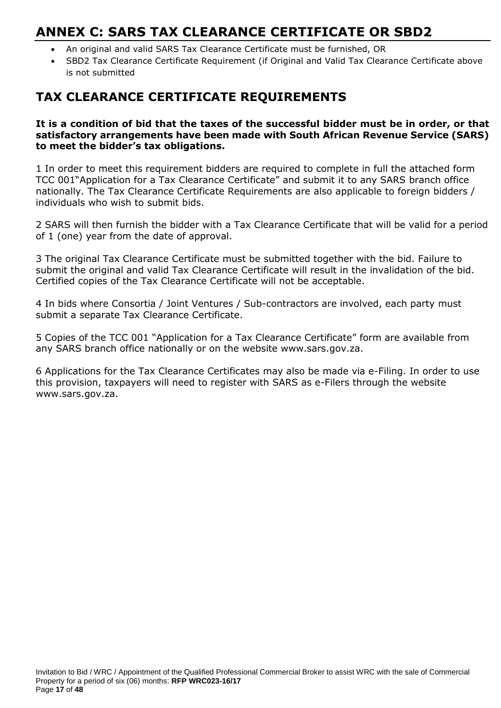# **ANNEX C: SARS TAX CLEARANCE CERTIFICATE OR SBD2**

- An original and valid SARS Tax Clearance Certificate must be furnished, OR
- SBD2 Tax Clearance Certificate Requirement (if Original and Valid Tax Clearance Certificate above is not submitted

# **TAX CLEARANCE CERTIFICATE REQUIREMENTS**

**It is a condition of bid that the taxes of the successful bidder must be in order, or that satisfactory arrangements have been made with South African Revenue Service (SARS) to meet the bidder's tax obligations.**

1 In order to meet this requirement bidders are required to complete in full the attached form TCC 001"Application for a Tax Clearance Certificate" and submit it to any SARS branch office nationally. The Tax Clearance Certificate Requirements are also applicable to foreign bidders / individuals who wish to submit bids.

2 SARS will then furnish the bidder with a Tax Clearance Certificate that will be valid for a period of 1 (one) year from the date of approval.

3 The original Tax Clearance Certificate must be submitted together with the bid. Failure to submit the original and valid Tax Clearance Certificate will result in the invalidation of the bid. Certified copies of the Tax Clearance Certificate will not be acceptable.

4 In bids where Consortia / Joint Ventures / Sub-contractors are involved, each party must submit a separate Tax Clearance Certificate.

5 Copies of the TCC 001 "Application for a Tax Clearance Certificate" form are available from any SARS branch office nationally or on the website www.sars.gov.za.

6 Applications for the Tax Clearance Certificates may also be made via e-Filing. In order to use this provision, taxpayers will need to register with SARS as e-Filers through the website www.sars.gov.za.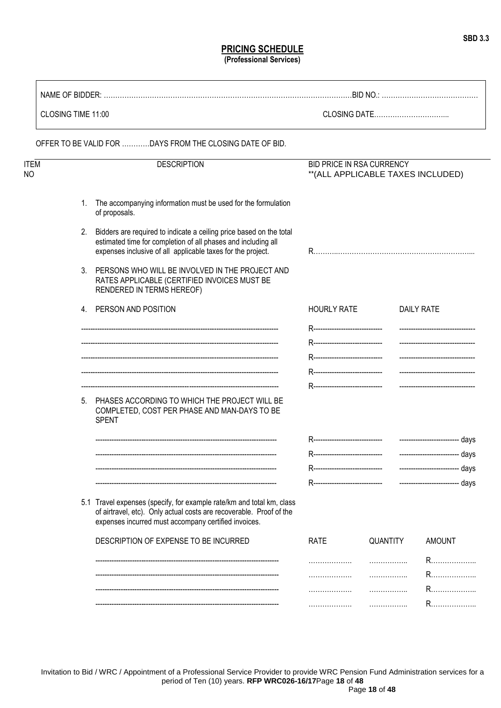#### **PRICING SCHEDULE (Professional Services)**

| CLOSING TIME 11:00 |                |                                                                                                                                                                                                      |                                  |          |                                    |      |
|--------------------|----------------|------------------------------------------------------------------------------------------------------------------------------------------------------------------------------------------------------|----------------------------------|----------|------------------------------------|------|
|                    |                | OFFER TO BE VALID FOR DAYS FROM THE CLOSING DATE OF BID.                                                                                                                                             |                                  |          |                                    |      |
| ITEM<br>NΟ         |                | <b>DESCRIPTION</b>                                                                                                                                                                                   | BID PRICE IN RSA CURRENCY        |          | ** (ALL APPLICABLE TAXES INCLUDED) |      |
|                    | 1.             | The accompanying information must be used for the formulation<br>of proposals.                                                                                                                       |                                  |          |                                    |      |
|                    | 2.             | Bidders are required to indicate a ceiling price based on the total<br>estimated time for completion of all phases and including all<br>expenses inclusive of all applicable taxes for the project.  |                                  |          |                                    |      |
|                    | 3 <sub>1</sub> | PERSONS WHO WILL BE INVOLVED IN THE PROJECT AND<br>RATES APPLICABLE (CERTIFIED INVOICES MUST BE<br>RENDERED IN TERMS HEREOF)                                                                         |                                  |          |                                    |      |
|                    |                | 4. PERSON AND POSITION                                                                                                                                                                               | <b>HOURLY RATE</b>               |          | <b>DAILY RATE</b>                  |      |
|                    |                |                                                                                                                                                                                                      | R------------------------------- |          | ---------------------------------  |      |
|                    |                |                                                                                                                                                                                                      |                                  |          |                                    |      |
|                    |                |                                                                                                                                                                                                      |                                  |          |                                    |      |
|                    |                |                                                                                                                                                                                                      |                                  |          |                                    |      |
|                    |                | 5. PHASES ACCORDING TO WHICH THE PROJECT WILL BE<br>COMPLETED, COST PER PHASE AND MAN-DAYS TO BE<br><b>SPENT</b>                                                                                     |                                  |          |                                    |      |
|                    |                |                                                                                                                                                                                                      | R------------------------------- |          |                                    |      |
|                    |                |                                                                                                                                                                                                      |                                  |          |                                    |      |
|                    |                |                                                                                                                                                                                                      |                                  |          | ---------------------              | days |
|                    |                |                                                                                                                                                                                                      | ----------------------------     |          | ------------------------- days     |      |
|                    |                | 5.1 Travel expenses (specify, for example rate/km and total km, class<br>of airtravel, etc). Only actual costs are recoverable. Proof of the<br>expenses incurred must accompany certified invoices. |                                  |          |                                    |      |
|                    |                | DESCRIPTION OF EXPENSE TO BE INCURRED                                                                                                                                                                | <b>RATE</b>                      | QUANTITY | <b>AMOUNT</b>                      |      |
|                    |                |                                                                                                                                                                                                      | .                                |          |                                    |      |
|                    |                |                                                                                                                                                                                                      | .                                | .        | R…………………                           |      |
|                    |                |                                                                                                                                                                                                      | .                                |          |                                    |      |
|                    |                |                                                                                                                                                                                                      |                                  |          |                                    |      |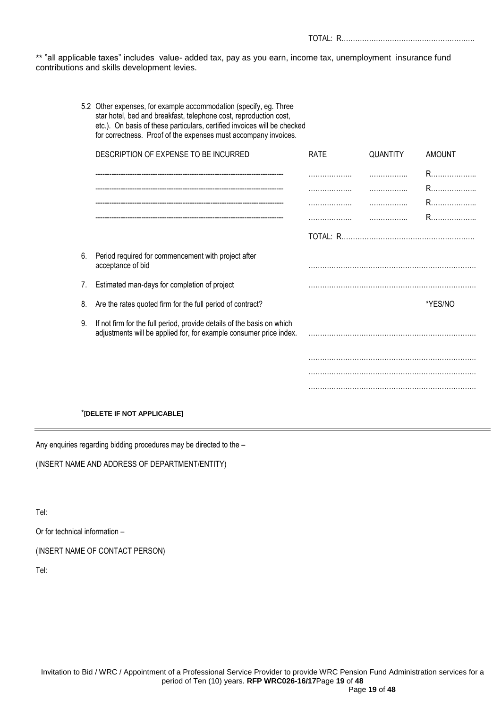\*\* "all applicable taxes" includes value- added tax, pay as you earn, income tax, unemployment insurance fund contributions and skills development levies.

TOTAL: R………………………………………………….

|    | 5.2 Other expenses, for example accommodation (specify, eg. Three<br>star hotel, bed and breakfast, telephone cost, reproduction cost,<br>etc.). On basis of these particulars, certified invoices will be checked<br>for correctness. Proof of the expenses must accompany invoices. |             |          |               |
|----|---------------------------------------------------------------------------------------------------------------------------------------------------------------------------------------------------------------------------------------------------------------------------------------|-------------|----------|---------------|
|    | DESCRIPTION OF EXPENSE TO BE INCURRED                                                                                                                                                                                                                                                 | <b>RATE</b> | QUANTITY | <b>AMOUNT</b> |
|    |                                                                                                                                                                                                                                                                                       | .           |          |               |
|    |                                                                                                                                                                                                                                                                                       | .           | .        | R             |
|    |                                                                                                                                                                                                                                                                                       | .           | .        | R             |
|    |                                                                                                                                                                                                                                                                                       | .           | .        |               |
|    |                                                                                                                                                                                                                                                                                       |             |          |               |
| 6. | Period required for commencement with project after<br>acceptance of bid                                                                                                                                                                                                              |             |          |               |
| 7. | Estimated man-days for completion of project                                                                                                                                                                                                                                          |             |          |               |
| 8. | Are the rates quoted firm for the full period of contract?                                                                                                                                                                                                                            |             |          | *YES/NO       |
| 9. | If not firm for the full period, provide details of the basis on which<br>adjustments will be applied for, for example consumer price index.                                                                                                                                          |             |          |               |
|    |                                                                                                                                                                                                                                                                                       |             |          |               |
|    |                                                                                                                                                                                                                                                                                       |             |          |               |
|    |                                                                                                                                                                                                                                                                                       |             |          |               |
|    |                                                                                                                                                                                                                                                                                       |             |          |               |

#### \***[DELETE IF NOT APPLICABLE]**

Any enquiries regarding bidding procedures may be directed to the –

(INSERT NAME AND ADDRESS OF DEPARTMENT/ENTITY)

Tel:

Or for technical information –

(INSERT NAME OF CONTACT PERSON)

Tel: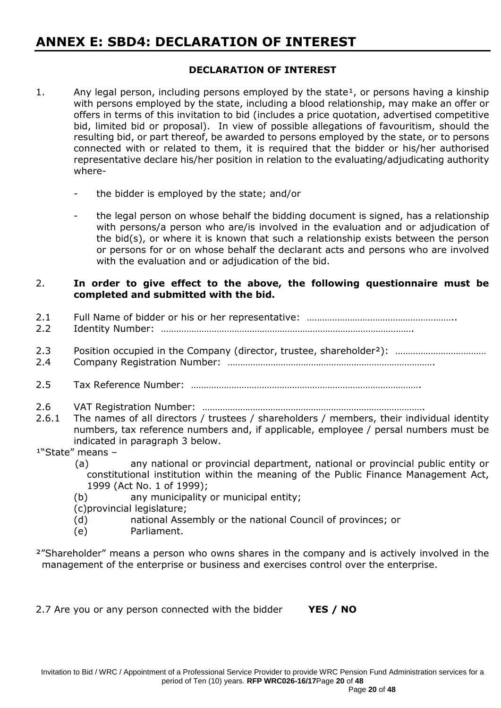# **ANNEX E: SBD4: DECLARATION OF INTEREST**

## **DECLARATION OF INTEREST**

- 1. Any legal person, including persons employed by the state<sup>1</sup>, or persons having a kinship with persons employed by the state, including a blood relationship, may make an offer or offers in terms of this invitation to bid (includes a price quotation, advertised competitive bid, limited bid or proposal). In view of possible allegations of favouritism, should the resulting bid, or part thereof, be awarded to persons employed by the state, or to persons connected with or related to them, it is required that the bidder or his/her authorised representative declare his/her position in relation to the evaluating/adjudicating authority where
	- the bidder is employed by the state; and/or
	- the legal person on whose behalf the bidding document is signed, has a relationship with persons/a person who are/is involved in the evaluation and or adjudication of the bid(s), or where it is known that such a relationship exists between the person or persons for or on whose behalf the declarant acts and persons who are involved with the evaluation and or adjudication of the bid.

## 2. **In order to give effect to the above, the following questionnaire must be completed and submitted with the bid.**

2.1 Full Name of bidder or his or her representative: …………………………………………………………………… 2.2 Identity Number: ………………………………………………………………………………………. 2.3 Position occupied in the Company (director, trustee, shareholder²): ……………………………… 2.4 Company Registration Number: ………………………………………………………………………. 2.5 Tax Reference Number: ………………………………………………………………………………. 2.6 VAT Registration Number: ……………………………………………………………………………. 2.6.1 The names of all directors / trustees / shareholders / members, their individual identity numbers, tax reference numbers and, if applicable, employee / persal numbers must be indicated in paragraph 3 below.  $1"State"$  means - (a) any national or provincial department, national or provincial public entity or constitutional institution within the meaning of the Public Finance Management Act, 1999 (Act No. 1 of 1999); (b) any municipality or municipal entity;

(c)provincial legislature;

- (d) national Assembly or the national Council of provinces; or
- (e) Parliament.
- <sup>2</sup>"Shareholder" means a person who owns shares in the company and is actively involved in the management of the enterprise or business and exercises control over the enterprise.

2.7 Are you or any person connected with the bidder **YES / NO**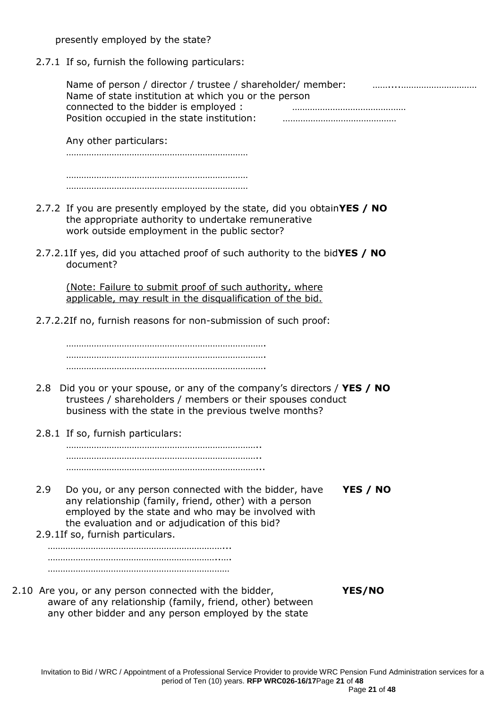presently employed by the state?

2.7.1 If so, furnish the following particulars:

| Name of person / director / trustee / shareholder/ member: |  |
|------------------------------------------------------------|--|
| Name of state institution at which you or the person       |  |
| connected to the bidder is employed:                       |  |
| Position occupied in the state institution:                |  |

Any other particulars: ……………………………………………………………… ……………………………………………………………… ………………………………………………………………

- 2.7.2 If you are presently employed by the state, did you obtain**YES / NO** the appropriate authority to undertake remunerative work outside employment in the public sector?
- 2.7.2.1If yes, did you attached proof of such authority to the bid**YES / NO** document?

(Note: Failure to submit proof of such authority, where applicable, may result in the disqualification of the bid.

2.7.2.2If no, furnish reasons for non-submission of such proof:

……………………………………………………………………. ……………………………………………………………………. …………………………………………………………………….

- 2.8 Did you or your spouse, or any of the company's directors / **YES / NO** trustees / shareholders / members or their spouses conduct business with the state in the previous twelve months?
- 2.8.1 If so, furnish particulars:

………………………………………………………………….. ………………………………………………………………….. …………………………………………………………………...

- 2.9 Do you, or any person connected with the bidder, have **YES / NO** any relationship (family, friend, other) with a person employed by the state and who may be involved with the evaluation and or adjudication of this bid?
- 2.9.1If so, furnish particulars.

……………………………………………………………... …………………………………………………………..…. ………………………………………………………………

2.10 Are you, or any person connected with the bidder, **YES/NO** aware of any relationship (family, friend, other) between any other bidder and any person employed by the state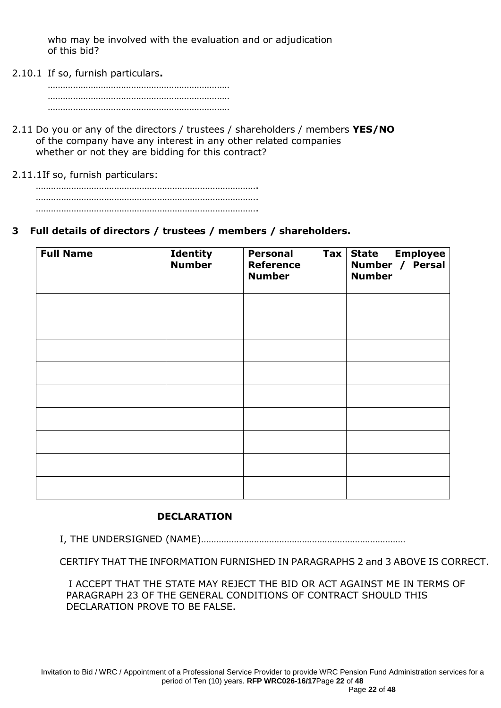who may be involved with the evaluation and or adjudication of this bid?

2.10.1 If so, furnish particulars**.**

- 2.11 Do you or any of the directors / trustees / shareholders / members **YES/NO** of the company have any interest in any other related companies whether or not they are bidding for this contract?
- 2.11.1If so, furnish particulars:

## **3 Full details of directors / trustees / members / shareholders.**

| <b>Full Name</b> | <b>Identity</b><br><b>Number</b> | <b>Personal</b><br>$\mathsf{Tax}$<br><b>Reference</b><br><b>Number</b> | <b>State Employee</b><br>Number / Persal<br><b>Number</b> |
|------------------|----------------------------------|------------------------------------------------------------------------|-----------------------------------------------------------|
|                  |                                  |                                                                        |                                                           |
|                  |                                  |                                                                        |                                                           |
|                  |                                  |                                                                        |                                                           |
|                  |                                  |                                                                        |                                                           |
|                  |                                  |                                                                        |                                                           |
|                  |                                  |                                                                        |                                                           |
|                  |                                  |                                                                        |                                                           |
|                  |                                  |                                                                        |                                                           |
|                  |                                  |                                                                        |                                                           |

## **DECLARATION**

I, THE UNDERSIGNED (NAME)………………………………………………………………………

CERTIFY THAT THE INFORMATION FURNISHED IN PARAGRAPHS 2 and 3 ABOVE IS CORRECT.

 I ACCEPT THAT THE STATE MAY REJECT THE BID OR ACT AGAINST ME IN TERMS OF PARAGRAPH 23 OF THE GENERAL CONDITIONS OF CONTRACT SHOULD THIS DECLARATION PROVE TO BE FALSE.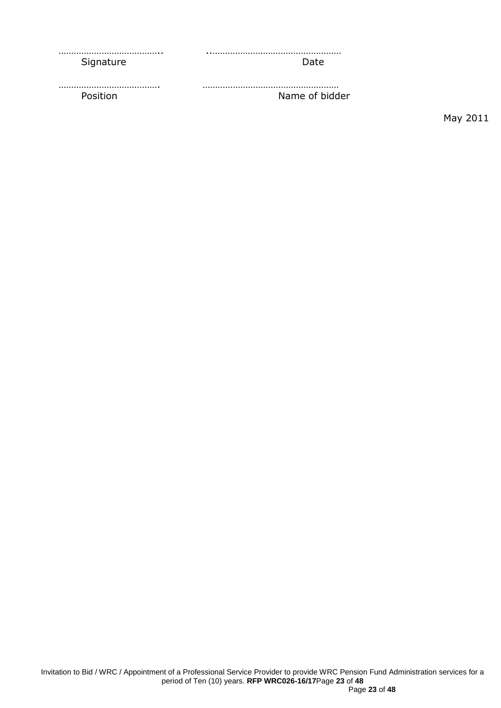| Signature | Date.          |
|-----------|----------------|
|           |                |
| Position  | Name of bidder |

May 2011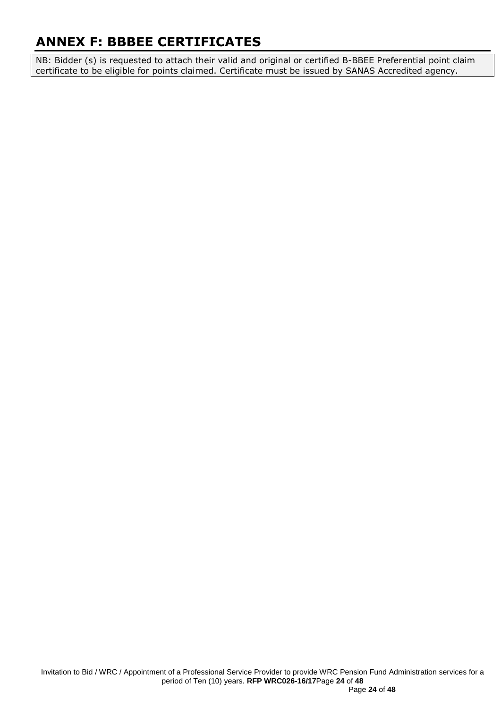# **ANNEX F: BBBEE CERTIFICATES**

NB: Bidder (s) is requested to attach their valid and original or certified B-BBEE Preferential point claim certificate to be eligible for points claimed. Certificate must be issued by SANAS Accredited agency.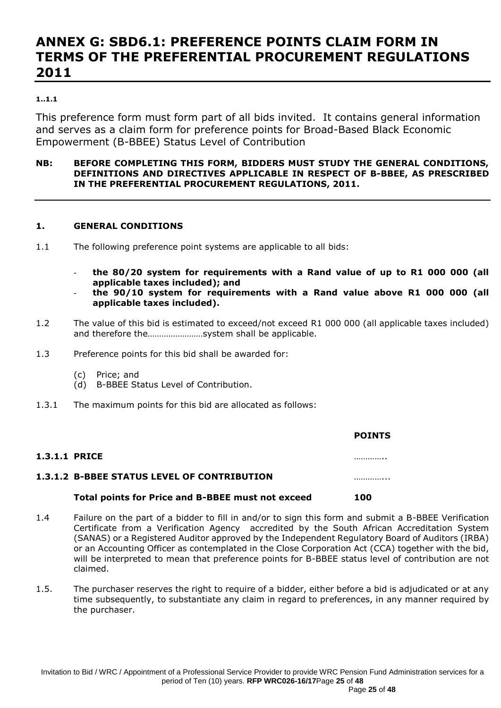# **ANNEX G: SBD6.1: PREFERENCE POINTS CLAIM FORM IN TERMS OF THE PREFERENTIAL PROCUREMENT REGULATIONS 2011**

#### **1..1.1**

This preference form must form part of all bids invited. It contains general information and serves as a claim form for preference points for Broad-Based Black Economic Empowerment (B-BBEE) Status Level of Contribution

#### **NB: BEFORE COMPLETING THIS FORM, BIDDERS MUST STUDY THE GENERAL CONDITIONS, DEFINITIONS AND DIRECTIVES APPLICABLE IN RESPECT OF B-BBEE, AS PRESCRIBED IN THE PREFERENTIAL PROCUREMENT REGULATIONS, 2011.**

#### **1. GENERAL CONDITIONS**

- 1.1 The following preference point systems are applicable to all bids:
	- **the 80/20 system for requirements with a Rand value of up to R1 000 000 (all applicable taxes included); and**
	- **the 90/10 system for requirements with a Rand value above R1 000 000 (all applicable taxes included).**
- 1.2 The value of this bid is estimated to exceed/not exceed R1 000 000 (all applicable taxes included) and therefore the……………………system shall be applicable.
- 1.3 Preference points for this bid shall be awarded for:
	- (c) Price; and
	- (d) B-BBEE Status Level of Contribution.
- 1.3.1 The maximum points for this bid are allocated as follows:

|                      |                                                    | <b>POINTS</b> |
|----------------------|----------------------------------------------------|---------------|
| <b>1.3.1.1 PRICE</b> |                                                    | .             |
|                      | <b>1.3.1.2 B-BBEE STATUS LEVEL OF CONTRIBUTION</b> | .             |
|                      | Total points for Price and B-BBEE must not exceed  | 100           |

- 1.4 Failure on the part of a bidder to fill in and/or to sign this form and submit a B-BBEE Verification Certificate from a Verification Agency accredited by the South African Accreditation System (SANAS) or a Registered Auditor approved by the Independent Regulatory Board of Auditors (IRBA) or an Accounting Officer as contemplated in the Close Corporation Act (CCA) together with the bid, will be interpreted to mean that preference points for B-BBEE status level of contribution are not claimed.
- 1.5. The purchaser reserves the right to require of a bidder, either before a bid is adjudicated or at any time subsequently, to substantiate any claim in regard to preferences, in any manner required by the purchaser.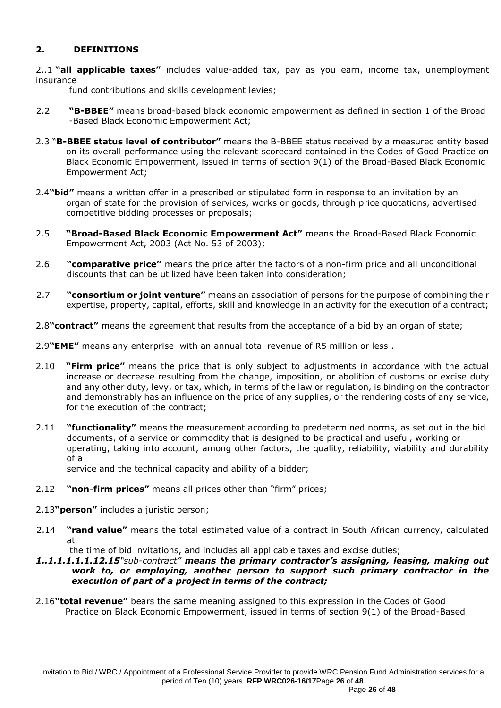## **2. DEFINITIONS**

2..1 **"all applicable taxes"** includes value-added tax, pay as you earn, income tax, unemployment insurance

fund contributions and skills development levies;

- 2.2 **"B-BBEE"** means broad-based black economic empowerment as defined in section 1 of the Broad -Based Black Economic Empowerment Act;
- 2.3 "**B-BBEE status level of contributor"** means the B-BBEE status received by a measured entity based on its overall performance using the relevant scorecard contained in the Codes of Good Practice on Black Economic Empowerment, issued in terms of section 9(1) of the Broad-Based Black Economic Empowerment Act;
- 2.4**"bid"** means a written offer in a prescribed or stipulated form in response to an invitation by an organ of state for the provision of services, works or goods, through price quotations, advertised competitive bidding processes or proposals;
- 2.5 **"Broad-Based Black Economic Empowerment Act"** means the Broad-Based Black Economic Empowerment Act, 2003 (Act No. 53 of 2003);
- 2.6 **"comparative price"** means the price after the factors of a non-firm price and all unconditional discounts that can be utilized have been taken into consideration;
- 2.7 **"consortium or joint venture"** means an association of persons for the purpose of combining their expertise, property, capital, efforts, skill and knowledge in an activity for the execution of a contract;
- 2.8**"contract"** means the agreement that results from the acceptance of a bid by an organ of state;

2.9**"EME"** means any enterprise with an annual total revenue of R5 million or less .

- 2.10 **"Firm price"** means the price that is only subject to adjustments in accordance with the actual increase or decrease resulting from the change, imposition, or abolition of customs or excise duty and any other duty, levy, or tax, which, in terms of the law or regulation, is binding on the contractor and demonstrably has an influence on the price of any supplies, or the rendering costs of any service, for the execution of the contract;
- 2.11 **"functionality"** means the measurement according to predetermined norms, as set out in the bid documents, of a service or commodity that is designed to be practical and useful, working or operating, taking into account, among other factors, the quality, reliability, viability and durability of a

service and the technical capacity and ability of a bidder;

- 2.12 **"non-firm prices"** means all prices other than "firm" prices;
- 2.13**"person"** includes a juristic person;
- 2.14 **"rand value"** means the total estimated value of a contract in South African currency, calculated at

the time of bid invitations, and includes all applicable taxes and excise duties;

#### *1..1.1.1.1.1.12.15"sub-contract" means the primary contractor's assigning, leasing, making out work to, or employing, another person to support such primary contractor in the execution of part of a project in terms of the contract;*

2.16**"total revenue"** bears the same meaning assigned to this expression in the Codes of Good Practice on Black Economic Empowerment, issued in terms of section 9(1) of the Broad-Based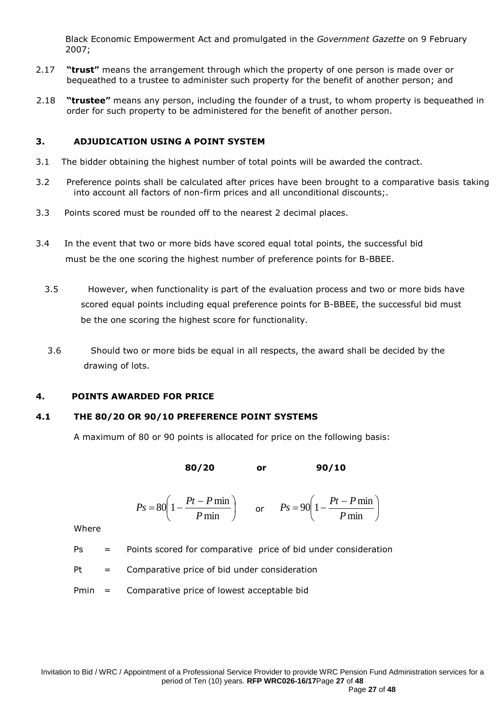Black Economic Empowerment Act and promulgated in the *Government Gazette* on 9 February 2007;

- 2.17 **"trust"** means the arrangement through which the property of one person is made over or bequeathed to a trustee to administer such property for the benefit of another person; and
- 2.18 **"trustee"** means any person, including the founder of a trust, to whom property is bequeathed in order for such property to be administered for the benefit of another person.

#### **3. ADJUDICATION USING A POINT SYSTEM**

- 3.1 The bidder obtaining the highest number of total points will be awarded the contract.
- 3.2 Preference points shall be calculated after prices have been brought to a comparative basis taking into account all factors of non-firm prices and all unconditional discounts;.
- 3.3 Points scored must be rounded off to the nearest 2 decimal places.
- 3.4 In the event that two or more bids have scored equal total points, the successful bid must be the one scoring the highest number of preference points for B-BBEE.
	- 3.5 However, when functionality is part of the evaluation process and two or more bids have scored equal points including equal preference points for B-BBEE, the successful bid must be the one scoring the highest score for functionality.
	- 3.6 Should two or more bids be equal in all respects, the award shall be decided by the drawing of lots.

### **4. POINTS AWARDED FOR PRICE**

### **4.1 THE 80/20 OR 90/10 PREFERENCE POINT SYSTEMS**

A maximum of 80 or 90 points is allocated for price on the following basis:

**80/20 or 90/10**

$$
Ps = 80 \left( 1 - \frac{Pt - P \min}{P \min} \right) \qquad \text{or} \qquad Ps = 90 \left( 1 - \frac{Pt - P \min}{P \min} \right)
$$

Where

- Ps = Points scored for comparative price of bid under consideration
- $Pt = Comparative price of bid under consideration$
- Pmin = Comparative price of lowest acceptable bid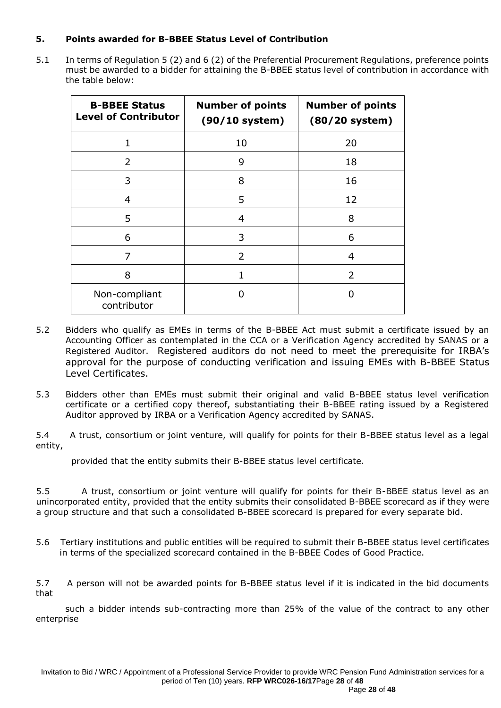## **5. Points awarded for B-BBEE Status Level of Contribution**

5.1 In terms of Regulation 5 (2) and 6 (2) of the Preferential Procurement Regulations, preference points must be awarded to a bidder for attaining the B-BBEE status level of contribution in accordance with the table below:

| <b>B-BBEE Status</b><br><b>Level of Contributor</b> | <b>Number of points</b><br>$(90/10$ system) | <b>Number of points</b><br>$(80/20$ system) |
|-----------------------------------------------------|---------------------------------------------|---------------------------------------------|
| $\mathbf{1}$                                        | 10                                          | 20                                          |
| $\mathcal{L}$                                       | 9                                           | 18                                          |
| 3                                                   | 8                                           | 16                                          |
| $\overline{4}$                                      | 5                                           | 12                                          |
| 5                                                   | 4                                           | 8                                           |
| 6                                                   | 3                                           | 6                                           |
| 7                                                   | 2                                           | 4                                           |
| 8                                                   |                                             | 2                                           |
| Non-compliant<br>contributor                        | 0                                           |                                             |

- 5.2 Bidders who qualify as EMEs in terms of the B-BBEE Act must submit a certificate issued by an Accounting Officer as contemplated in the CCA or a Verification Agency accredited by SANAS or a Registered Auditor. Registered auditors do not need to meet the prerequisite for IRBA's approval for the purpose of conducting verification and issuing EMEs with B-BBEE Status Level Certificates.
- 5.3 Bidders other than EMEs must submit their original and valid B-BBEE status level verification certificate or a certified copy thereof, substantiating their B-BBEE rating issued by a Registered Auditor approved by IRBA or a Verification Agency accredited by SANAS.

5.4 A trust, consortium or joint venture, will qualify for points for their B-BBEE status level as a legal entity,

provided that the entity submits their B-BBEE status level certificate.

5.5 A trust, consortium or joint venture will qualify for points for their B-BBEE status level as an unincorporated entity, provided that the entity submits their consolidated B-BBEE scorecard as if they were a group structure and that such a consolidated B-BBEE scorecard is prepared for every separate bid.

5.6 Tertiary institutions and public entities will be required to submit their B-BBEE status level certificates in terms of the specialized scorecard contained in the B-BBEE Codes of Good Practice.

5.7 A person will not be awarded points for B-BBEE status level if it is indicated in the bid documents that

 such a bidder intends sub-contracting more than 25% of the value of the contract to any other enterprise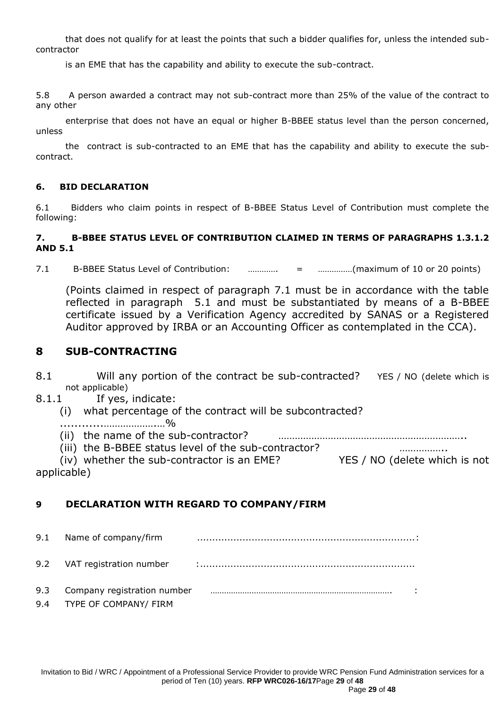that does not qualify for at least the points that such a bidder qualifies for, unless the intended subcontractor

is an EME that has the capability and ability to execute the sub-contract.

5.8 A person awarded a contract may not sub-contract more than 25% of the value of the contract to any other

 enterprise that does not have an equal or higher B-BBEE status level than the person concerned, unless

 the contract is sub-contracted to an EME that has the capability and ability to execute the subcontract.

### **6. BID DECLARATION**

6.1 Bidders who claim points in respect of B-BBEE Status Level of Contribution must complete the following:

### **7. B-BBEE STATUS LEVEL OF CONTRIBUTION CLAIMED IN TERMS OF PARAGRAPHS 1.3.1.2 AND 5.1**

7.1 B-BBEE Status Level of Contribution: …………. = ……………(maximum of 10 or 20 points)

(Points claimed in respect of paragraph 7.1 must be in accordance with the table reflected in paragraph 5.1 and must be substantiated by means of a B-BBEE certificate issued by a Verification Agency accredited by SANAS or a Registered Auditor approved by IRBA or an Accounting Officer as contemplated in the CCA).

## **8 SUB-CONTRACTING**

- 8.1 Will any portion of the contract be sub-contracted? YES / NO (delete which is not applicable)
- 8.1.1 If yes, indicate:
	- (i) what percentage of the contract will be subcontracted?
	- ............……………….…%
	- (ii) the name of the sub-contractor? …………………………………………………………..
	- (iii) the B-BBEE status level of the sub-contractor? ……………..

(iv) whether the sub-contractor is an EME? YES / NO (delete which is not applicable)

## **9 DECLARATION WITH REGARD TO COMPANY/FIRM**

9.1 Name of company/firm ........................................................................: 9.2 VAT registration number :....................................................................... 9.3 Company registration number ……………………………………………………………………. : 9.4 TYPE OF COMPANY/ FIRM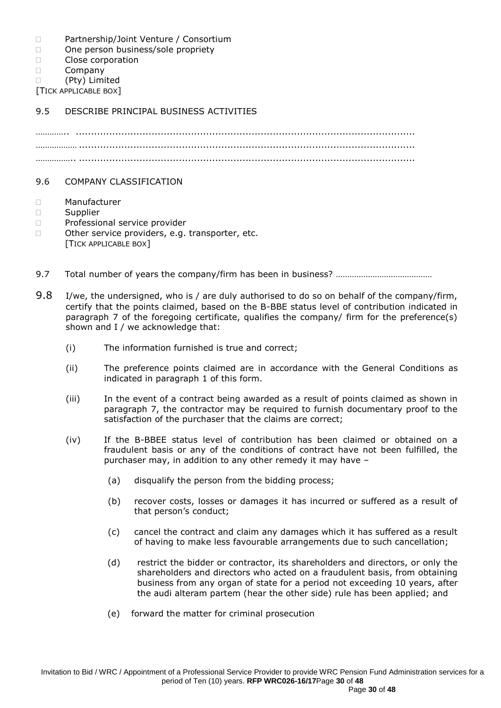- D Partnership/Joint Venture / Consortium
- □ One person business/sole propriety
- D Close corporation
- D Company
- (Pty) Limited

[TICK APPLICABLE BOX]

## 9.5 DESCRIBE PRINCIPAL BUSINESS ACTIVITIES

………….. ................................................................................................................ ……………… ............................................................................................................... …………….. ...............................................................................................................

### 9.6 COMPANY CLASSIFICATION

- Manufacturer
- $\square$  Supplier
- D Professional service provider
- □ Other service providers, e.g. transporter, etc.
	- [TICK APPLICABLE BOX]
- 9.7 Total number of years the company/firm has been in business? ………………………………………
- 9.8 I/we, the undersigned, who is / are duly authorised to do so on behalf of the company/firm, certify that the points claimed, based on the B-BBE status level of contribution indicated in paragraph 7 of the foregoing certificate, qualifies the company/ firm for the preference(s) shown and I / we acknowledge that:
	- (i) The information furnished is true and correct;
	- (ii) The preference points claimed are in accordance with the General Conditions as indicated in paragraph 1 of this form.
	- (iii) In the event of a contract being awarded as a result of points claimed as shown in paragraph 7, the contractor may be required to furnish documentary proof to the satisfaction of the purchaser that the claims are correct;
	- (iv) If the B-BBEE status level of contribution has been claimed or obtained on a fraudulent basis or any of the conditions of contract have not been fulfilled, the purchaser may, in addition to any other remedy it may have –
		- (a) disqualify the person from the bidding process;
		- (b) recover costs, losses or damages it has incurred or suffered as a result of that person's conduct;
		- (c) cancel the contract and claim any damages which it has suffered as a result of having to make less favourable arrangements due to such cancellation;
		- (d) restrict the bidder or contractor, its shareholders and directors, or only the shareholders and directors who acted on a fraudulent basis, from obtaining business from any organ of state for a period not exceeding 10 years, after the audi alteram partem (hear the other side) rule has been applied; and
		- (e) forward the matter for criminal prosecution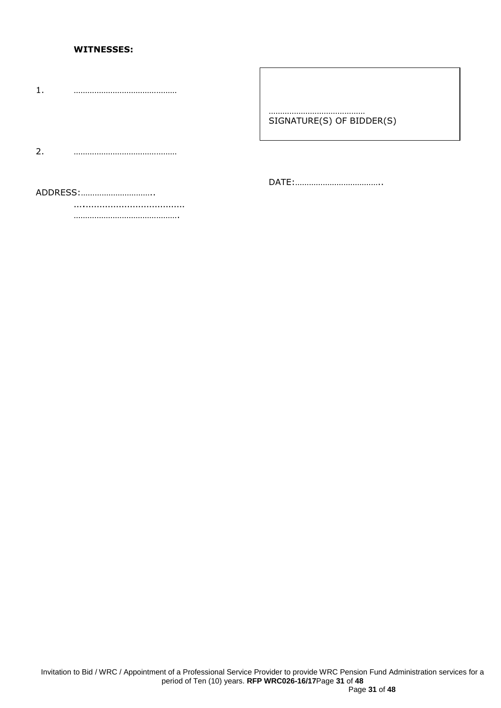#### **WITNESSES:**

1. ………………………………………

#### …………………………………… SIGNATURE(S) OF BIDDER(S)

2. ………………………………………

DATE:………………………………..

ADDRESS:…………………………..

….……………………………… ……………………………………….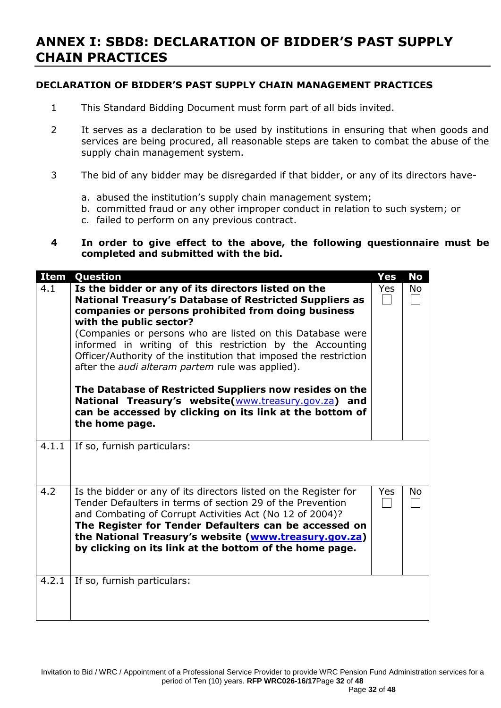# **ANNEX I: SBD8: DECLARATION OF BIDDER'S PAST SUPPLY CHAIN PRACTICES**

## **DECLARATION OF BIDDER'S PAST SUPPLY CHAIN MANAGEMENT PRACTICES**

- 1 This Standard Bidding Document must form part of all bids invited.
- 2 It serves as a declaration to be used by institutions in ensuring that when goods and services are being procured, all reasonable steps are taken to combat the abuse of the supply chain management system.
- 3 The bid of any bidder may be disregarded if that bidder, or any of its directors have
	- a. abused the institution's supply chain management system;
	- b. committed fraud or any other improper conduct in relation to such system; or
	- c. failed to perform on any previous contract.

## **4 In order to give effect to the above, the following questionnaire must be completed and submitted with the bid.**

| <b>Item</b> | Question                                                                                                                                                                                                                                                                                                                                                                                                                                                                                                                                                                                                                                                            | <b>Yes</b> | <b>No</b> |
|-------------|---------------------------------------------------------------------------------------------------------------------------------------------------------------------------------------------------------------------------------------------------------------------------------------------------------------------------------------------------------------------------------------------------------------------------------------------------------------------------------------------------------------------------------------------------------------------------------------------------------------------------------------------------------------------|------------|-----------|
| 4.1         | Is the bidder or any of its directors listed on the<br><b>National Treasury's Database of Restricted Suppliers as</b><br>companies or persons prohibited from doing business<br>with the public sector?<br>(Companies or persons who are listed on this Database were<br>informed in writing of this restriction by the Accounting<br>Officer/Authority of the institution that imposed the restriction<br>after the <i>audi alteram partem</i> rule was applied).<br>The Database of Restricted Suppliers now resides on the<br>National Treasury's website(www.treasury.gov.za) and<br>can be accessed by clicking on its link at the bottom of<br>the home page. | Yes        | No        |
| 4.1.1       | If so, furnish particulars:                                                                                                                                                                                                                                                                                                                                                                                                                                                                                                                                                                                                                                         |            |           |
| 4.2         | Is the bidder or any of its directors listed on the Register for<br>Tender Defaulters in terms of section 29 of the Prevention<br>and Combating of Corrupt Activities Act (No 12 of 2004)?<br>The Register for Tender Defaulters can be accessed on<br>the National Treasury's website (www.treasury.gov.za)<br>by clicking on its link at the bottom of the home page.                                                                                                                                                                                                                                                                                             | Yes        | No        |
| 4.2.1       | If so, furnish particulars:                                                                                                                                                                                                                                                                                                                                                                                                                                                                                                                                                                                                                                         |            |           |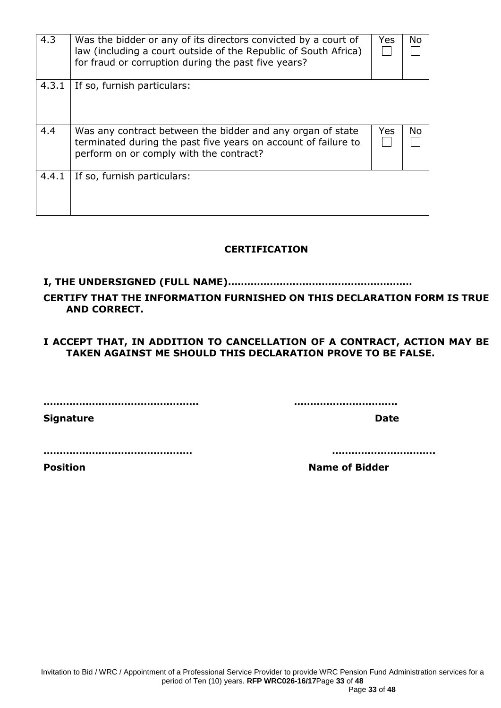| 4.3   | Was the bidder or any of its directors convicted by a court of<br>law (including a court outside of the Republic of South Africa)<br>for fraud or corruption during the past five years? | Yes  | No  |
|-------|------------------------------------------------------------------------------------------------------------------------------------------------------------------------------------------|------|-----|
| 4.3.1 | If so, furnish particulars:                                                                                                                                                              |      |     |
| 4.4   | Was any contract between the bidder and any organ of state<br>terminated during the past five years on account of failure to<br>perform on or comply with the contract?                  | Yes. | No. |
| 4.4.1 | If so, furnish particulars:                                                                                                                                                              |      |     |

# **CERTIFICATION**

# **I, THE UNDERSIGNED (FULL NAME)…………………………………………………**

# **CERTIFY THAT THE INFORMATION FURNISHED ON THIS DECLARATION FORM IS TRUE AND CORRECT.**

## **I ACCEPT THAT, IN ADDITION TO CANCELLATION OF A CONTRACT, ACTION MAY BE TAKEN AGAINST ME SHOULD THIS DECLARATION PROVE TO BE FALSE.**

**………………………………………... …………………………..**

**Signature Date** 

**………………………………………. …………………………..**

**Position Name of Bidder**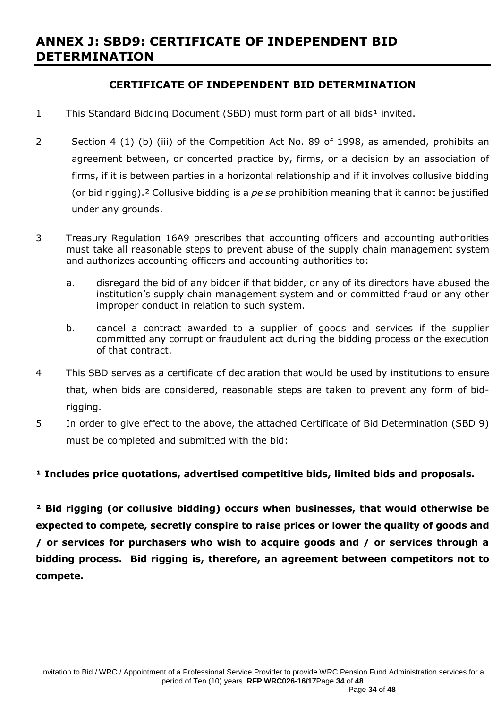# **ANNEX J: SBD9: CERTIFICATE OF INDEPENDENT BID DETERMINATION**

# **CERTIFICATE OF INDEPENDENT BID DETERMINATION**

- 1 This Standard Bidding Document (SBD) must form part of all bids<sup>1</sup> invited.
- 2 Section 4 (1) (b) (iii) of the Competition Act No. 89 of 1998, as amended, prohibits an agreement between, or concerted practice by, firms, or a decision by an association of firms, if it is between parties in a horizontal relationship and if it involves collusive bidding (or bid rigging).² Collusive bidding is a *pe se* prohibition meaning that it cannot be justified under any grounds.
- 3 Treasury Regulation 16A9 prescribes that accounting officers and accounting authorities must take all reasonable steps to prevent abuse of the supply chain management system and authorizes accounting officers and accounting authorities to:
	- a. disregard the bid of any bidder if that bidder, or any of its directors have abused the institution's supply chain management system and or committed fraud or any other improper conduct in relation to such system.
	- b. cancel a contract awarded to a supplier of goods and services if the supplier committed any corrupt or fraudulent act during the bidding process or the execution of that contract.
- 4 This SBD serves as a certificate of declaration that would be used by institutions to ensure that, when bids are considered, reasonable steps are taken to prevent any form of bidrigging.
- 5 In order to give effect to the above, the attached Certificate of Bid Determination (SBD 9) must be completed and submitted with the bid:

## <sup>1</sup> Includes price quotations, advertised competitive bids, limited bids and proposals.

**² Bid rigging (or collusive bidding) occurs when businesses, that would otherwise be expected to compete, secretly conspire to raise prices or lower the quality of goods and / or services for purchasers who wish to acquire goods and / or services through a bidding process. Bid rigging is, therefore, an agreement between competitors not to compete.**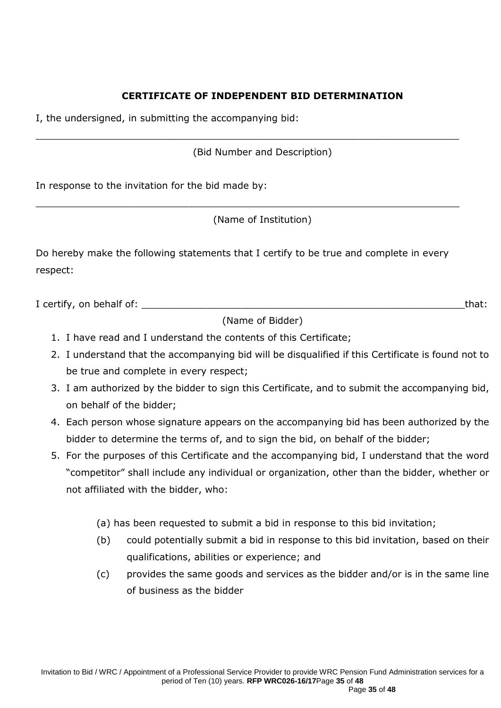## **CERTIFICATE OF INDEPENDENT BID DETERMINATION**

I, the undersigned, in submitting the accompanying bid:

(Bid Number and Description)

 $\_$  , and the set of the set of the set of the set of the set of the set of the set of the set of the set of the set of the set of the set of the set of the set of the set of the set of the set of the set of the set of th

\_\_\_\_\_\_\_\_\_\_\_\_\_\_\_\_\_\_\_\_\_\_\_\_\_\_\_\_\_\_\_\_\_\_\_\_\_\_\_\_\_\_\_\_\_\_\_\_\_\_\_\_\_\_\_\_\_\_\_\_\_\_\_\_\_\_\_\_\_\_\_\_

In response to the invitation for the bid made by:

(Name of Institution)

Do hereby make the following statements that I certify to be true and complete in every respect:

I certify, on behalf of: **We are all that if the set of the set of the set of the set of the set of that:** 

(Name of Bidder)

- 1. I have read and I understand the contents of this Certificate;
- 2. I understand that the accompanying bid will be disqualified if this Certificate is found not to be true and complete in every respect;
- 3. I am authorized by the bidder to sign this Certificate, and to submit the accompanying bid, on behalf of the bidder;
- 4. Each person whose signature appears on the accompanying bid has been authorized by the bidder to determine the terms of, and to sign the bid, on behalf of the bidder;
- 5. For the purposes of this Certificate and the accompanying bid, I understand that the word "competitor" shall include any individual or organization, other than the bidder, whether or not affiliated with the bidder, who:
	- (a) has been requested to submit a bid in response to this bid invitation;
	- (b) could potentially submit a bid in response to this bid invitation, based on their qualifications, abilities or experience; and
	- (c) provides the same goods and services as the bidder and/or is in the same line of business as the bidder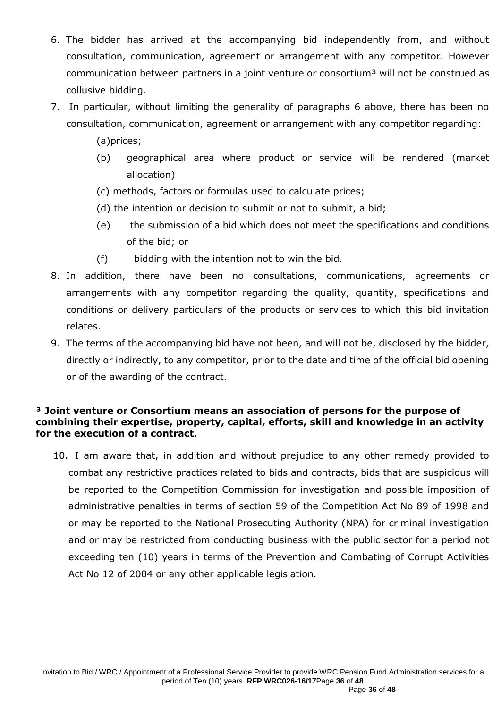- 6. The bidder has arrived at the accompanying bid independently from, and without consultation, communication, agreement or arrangement with any competitor. However communication between partners in a joint venture or consortium<sup>3</sup> will not be construed as collusive bidding.
- 7. In particular, without limiting the generality of paragraphs 6 above, there has been no consultation, communication, agreement or arrangement with any competitor regarding:
	- (a)prices;
	- (b) geographical area where product or service will be rendered (market allocation)
	- (c) methods, factors or formulas used to calculate prices;
	- (d) the intention or decision to submit or not to submit, a bid;
	- (e) the submission of a bid which does not meet the specifications and conditions of the bid; or
	- (f) bidding with the intention not to win the bid.
- 8. In addition, there have been no consultations, communications, agreements or arrangements with any competitor regarding the quality, quantity, specifications and conditions or delivery particulars of the products or services to which this bid invitation relates.
- 9. The terms of the accompanying bid have not been, and will not be, disclosed by the bidder, directly or indirectly, to any competitor, prior to the date and time of the official bid opening or of the awarding of the contract.

## **³ Joint venture or Consortium means an association of persons for the purpose of combining their expertise, property, capital, efforts, skill and knowledge in an activity for the execution of a contract.**

10. I am aware that, in addition and without prejudice to any other remedy provided to combat any restrictive practices related to bids and contracts, bids that are suspicious will be reported to the Competition Commission for investigation and possible imposition of administrative penalties in terms of section 59 of the Competition Act No 89 of 1998 and or may be reported to the National Prosecuting Authority (NPA) for criminal investigation and or may be restricted from conducting business with the public sector for a period not exceeding ten (10) years in terms of the Prevention and Combating of Corrupt Activities Act No 12 of 2004 or any other applicable legislation.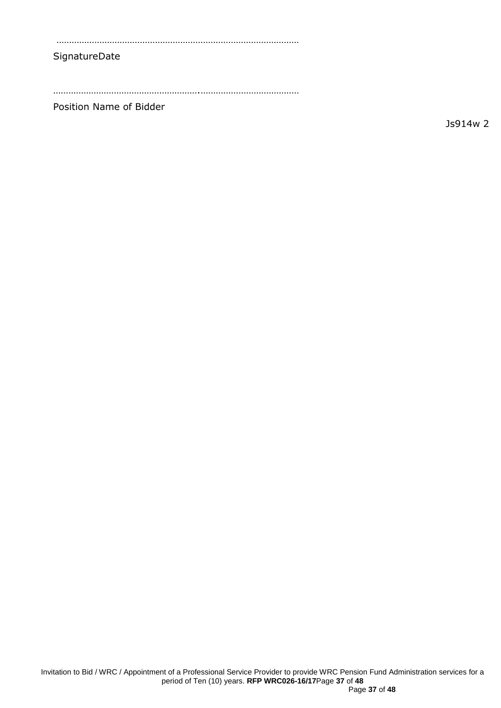……………………………………………………………………………………

#### SignatureDate

………………………………………………….…………………………………

Position Name of Bidder

Js914w 2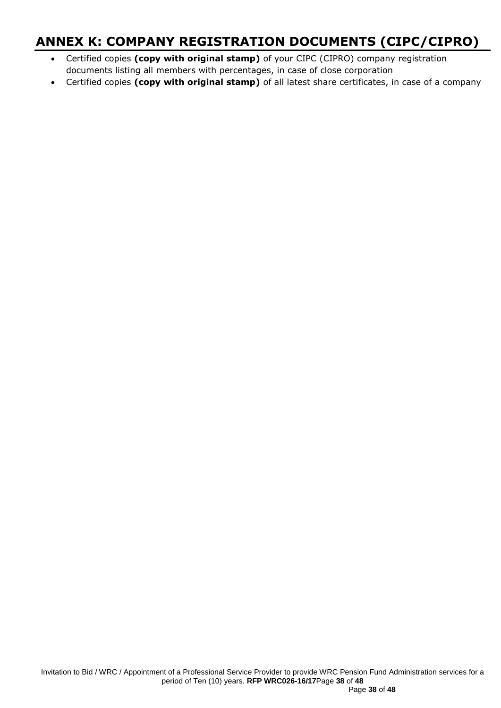# **ANNEX K: COMPANY REGISTRATION DOCUMENTS (CIPC/CIPRO)**

- Certified copies **(copy with original stamp)** of your CIPC (CIPRO) company registration documents listing all members with percentages, in case of close corporation
- Certified copies **(copy with original stamp)** of all latest share certificates, in case of a company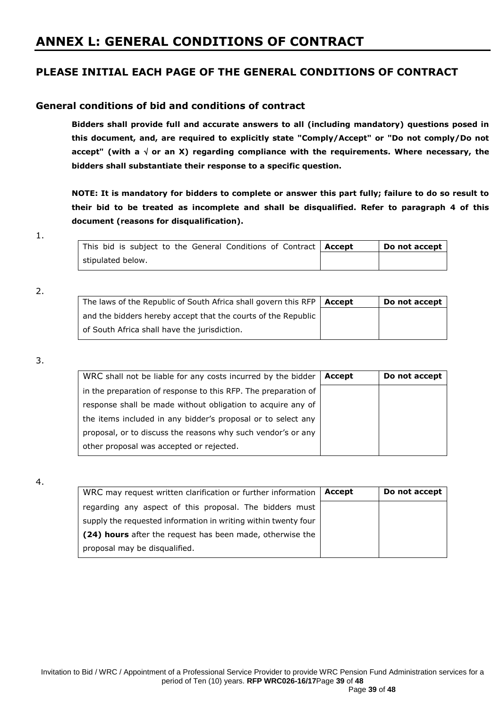# **ANNEX L: GENERAL CONDITIONS OF CONTRACT**

## **PLEASE INITIAL EACH PAGE OF THE GENERAL CONDITIONS OF CONTRACT**

### **General conditions of bid and conditions of contract**

**Bidders shall provide full and accurate answers to all (including mandatory) questions posed in this document, and, are required to explicitly state "Comply/Accept" or "Do not comply/Do not**  accept" (with a  $\sqrt{ }$  or an X) regarding compliance with the requirements. Where necessary, the **bidders shall substantiate their response to a specific question.**

**NOTE: It is mandatory for bidders to complete or answer this part fully; failure to do so result to their bid to be treated as incomplete and shall be disqualified. Refer to paragraph 4 of this document (reasons for disqualification).**

| This bid is subject to the General Conditions of Contract   Accept | Do not accept |
|--------------------------------------------------------------------|---------------|
| stipulated below.                                                  |               |

#### 2.

| The laws of the Republic of South Africa shall govern this RFP   Accept | Do not accept |
|-------------------------------------------------------------------------|---------------|
| and the bidders hereby accept that the courts of the Republic           |               |
| of South Africa shall have the jurisdiction.                            |               |

#### 3.

| WRC shall not be liable for any costs incurred by the bidder   | Accept | Do not accept |
|----------------------------------------------------------------|--------|---------------|
| in the preparation of response to this RFP. The preparation of |        |               |
| response shall be made without obligation to acquire any of    |        |               |
| the items included in any bidder's proposal or to select any   |        |               |
| proposal, or to discuss the reasons why such vendor's or any   |        |               |
| other proposal was accepted or rejected.                       |        |               |

#### 4.

| WRC may request written clarification or further information   | Accept | Do not accept |
|----------------------------------------------------------------|--------|---------------|
| regarding any aspect of this proposal. The bidders must        |        |               |
| supply the requested information in writing within twenty four |        |               |
| (24) hours after the request has been made, otherwise the      |        |               |
| proposal may be disqualified.                                  |        |               |

<sup>1.</sup>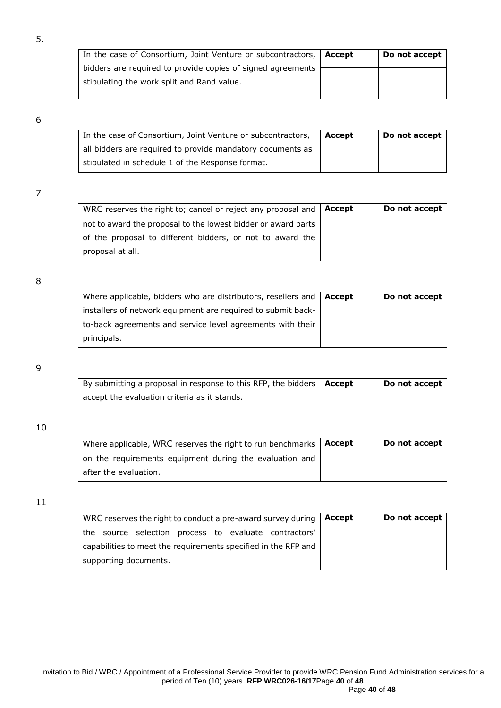| In the case of Consortium, Joint Venture or subcontractors, | Accept | Do not accept |
|-------------------------------------------------------------|--------|---------------|
| bidders are required to provide copies of signed agreements |        |               |
| stipulating the work split and Rand value.                  |        |               |
|                                                             |        |               |

### 6

5.

| In the case of Consortium, Joint Venture or subcontractors, | Accept | Do not accept |
|-------------------------------------------------------------|--------|---------------|
| all bidders are required to provide mandatory documents as  |        |               |
| stipulated in schedule 1 of the Response format.            |        |               |

### 7

| WRC reserves the right to; cancel or reject any proposal and  | Accept | Do not accept |
|---------------------------------------------------------------|--------|---------------|
| not to award the proposal to the lowest bidder or award parts |        |               |
| of the proposal to different bidders, or not to award the     |        |               |
| proposal at all.                                              |        |               |

#### 8

| Where applicable, bidders who are distributors, resellers and $\vert$ Accept | Do not accept |
|------------------------------------------------------------------------------|---------------|
| installers of network equipment are required to submit back-                 |               |
| to-back agreements and service level agreements with their                   |               |
| principals.                                                                  |               |

#### 9

| By submitting a proposal in response to this RFP, the bidders   Accept | Do not accept |
|------------------------------------------------------------------------|---------------|
| accept the evaluation criteria as it stands.                           |               |

#### 10

| Where applicable, WRC reserves the right to run benchmarks $\vert$ <b>Accept</b> | Do not accept |
|----------------------------------------------------------------------------------|---------------|
| on the requirements equipment during the evaluation and                          |               |
| after the evaluation.                                                            |               |

| WRC reserves the right to conduct a pre-award survey during    | Accept | Do not accept |
|----------------------------------------------------------------|--------|---------------|
| source selection process to evaluate contractors'<br>the       |        |               |
| capabilities to meet the requirements specified in the RFP and |        |               |
| supporting documents.                                          |        |               |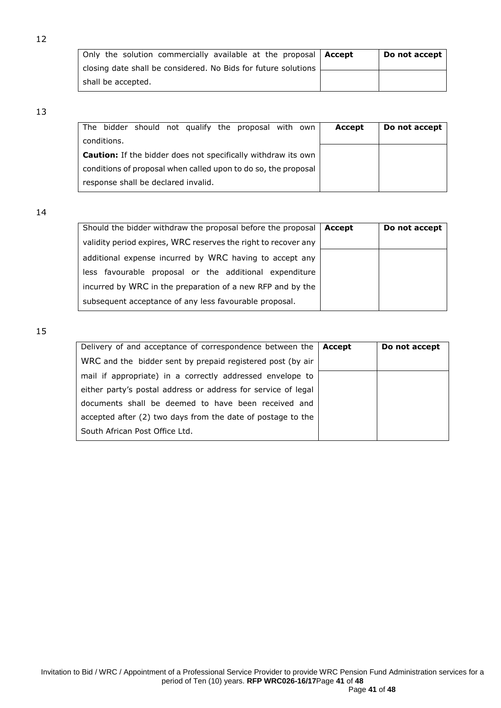| Only the solution commercially available at the proposal   Accept | Do not accept |
|-------------------------------------------------------------------|---------------|
| closing date shall be considered. No Bids for future solutions    |               |
| shall be accepted.                                                |               |

#### 13

| The bidder should not qualify the proposal with own                  | Accept | Do not accept |
|----------------------------------------------------------------------|--------|---------------|
| conditions.                                                          |        |               |
| <b>Caution:</b> If the bidder does not specifically withdraw its own |        |               |
| conditions of proposal when called upon to do so, the proposal       |        |               |
| response shall be declared invalid.                                  |        |               |

14

| Should the bidder withdraw the proposal before the proposal    | Accept | Do not accept |
|----------------------------------------------------------------|--------|---------------|
| validity period expires, WRC reserves the right to recover any |        |               |
| additional expense incurred by WRC having to accept any        |        |               |
| less favourable proposal or the additional expenditure         |        |               |
| incurred by WRC in the preparation of a new RFP and by the     |        |               |
| subsequent acceptance of any less favourable proposal.         |        |               |

| Delivery of and acceptance of correspondence between the $\vert$ <b>Accept</b> | Do not accept |
|--------------------------------------------------------------------------------|---------------|
| WRC and the bidder sent by prepaid registered post (by air                     |               |
| mail if appropriate) in a correctly addressed envelope to                      |               |
| either party's postal address or address for service of legal                  |               |
| documents shall be deemed to have been received and                            |               |
| accepted after (2) two days from the date of postage to the                    |               |
| South African Post Office Ltd.                                                 |               |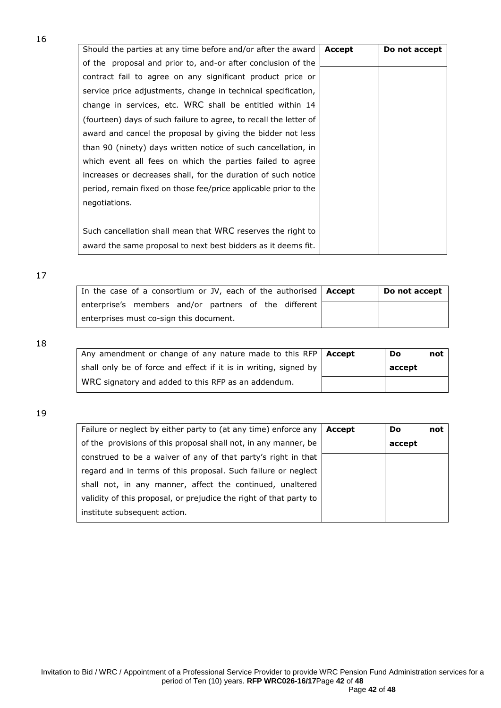Should the parties at any time before and/or after the award of the proposal and prior to, and-or after conclusion of the contract fail to agree on any significant product price or service price adjustments, change in technical specification, change in services, etc. WRC shall be entitled within 14 (fourteen) days of such failure to agree, to recall the letter of award and cancel the proposal by giving the bidder not less than 90 (ninety) days written notice of such cancellation, in which event all fees on which the parties failed to agree increases or decreases shall, for the duration of such notice period, remain fixed on those fee/price applicable prior to the negotiations. Such cancellation shall mean that WRC reserves the right to award the same proposal to next best bidders as it deems fit. **Accept Do not accept**

17

16

| In the case of a consortium or JV, each of the authorised   Accept | Do not accept |
|--------------------------------------------------------------------|---------------|
| enterprise's members and/or partners of the different              |               |
| enterprises must co-sign this document.                            |               |

18

| Any amendment or change of any nature made to this RFP $\vert$ Accept | Do     | not |
|-----------------------------------------------------------------------|--------|-----|
| shall only be of force and effect if it is in writing, signed by      | accept |     |
| WRC signatory and added to this RFP as an addendum.                   |        |     |

| Failure or neglect by either party to (at any time) enforce any    | Accept | <b>Do</b> | not |
|--------------------------------------------------------------------|--------|-----------|-----|
| of the provisions of this proposal shall not, in any manner, be    |        | accept    |     |
| construed to be a waiver of any of that party's right in that      |        |           |     |
| regard and in terms of this proposal. Such failure or neglect      |        |           |     |
| shall not, in any manner, affect the continued, unaltered          |        |           |     |
| validity of this proposal, or prejudice the right of that party to |        |           |     |
| institute subsequent action.                                       |        |           |     |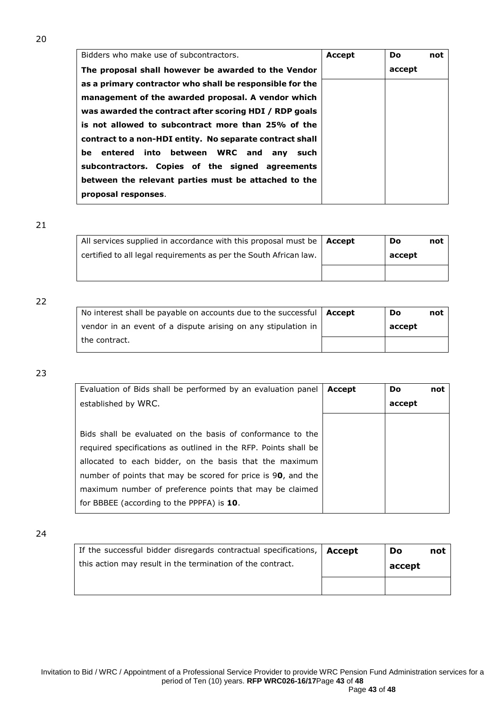| Bidders who make use of subcontractors.                  | <b>Accept</b> | Do     | not |
|----------------------------------------------------------|---------------|--------|-----|
| The proposal shall however be awarded to the Vendor      |               | accept |     |
| as a primary contractor who shall be responsible for the |               |        |     |
| management of the awarded proposal. A vendor which       |               |        |     |
| was awarded the contract after scoring HDI / RDP goals   |               |        |     |
| is not allowed to subcontract more than 25% of the       |               |        |     |
| contract to a non-HDI entity. No separate contract shall |               |        |     |
| entered into between WRC and<br>be<br>anv such           |               |        |     |
| subcontractors. Copies of the signed agreements          |               |        |     |
| between the relevant parties must be attached to the     |               |        |     |
| proposal responses.                                      |               |        |     |
|                                                          |               |        |     |

21

| All services supplied in accordance with this proposal must be $\vert$ <b>Accept</b> | Do     | not |
|--------------------------------------------------------------------------------------|--------|-----|
| certified to all legal requirements as per the South African law.                    | accept |     |
|                                                                                      |        |     |

#### 22

| No interest shall be payable on accounts due to the successful $\vert$ <b>Accept</b> | Do     | not |
|--------------------------------------------------------------------------------------|--------|-----|
| vendor in an event of a dispute arising on any stipulation in                        | accept |     |
| the contract.                                                                        |        |     |

### 23

| Evaluation of Bids shall be performed by an evaluation panel    | Accept | <b>Do</b> | not |
|-----------------------------------------------------------------|--------|-----------|-----|
| established by WRC.                                             |        | accept    |     |
|                                                                 |        |           |     |
| Bids shall be evaluated on the basis of conformance to the      |        |           |     |
| required specifications as outlined in the RFP. Points shall be |        |           |     |
| allocated to each bidder, on the basis that the maximum         |        |           |     |
| number of points that may be scored for price is 90, and the    |        |           |     |
| maximum number of preference points that may be claimed         |        |           |     |
| for BBBEE (according to the PPPFA) is 10.                       |        |           |     |

| If the successful bidder disregards contractual specifications, $ $ <b>Accept</b> | Do     | not |
|-----------------------------------------------------------------------------------|--------|-----|
| this action may result in the termination of the contract.                        | accept |     |
|                                                                                   |        |     |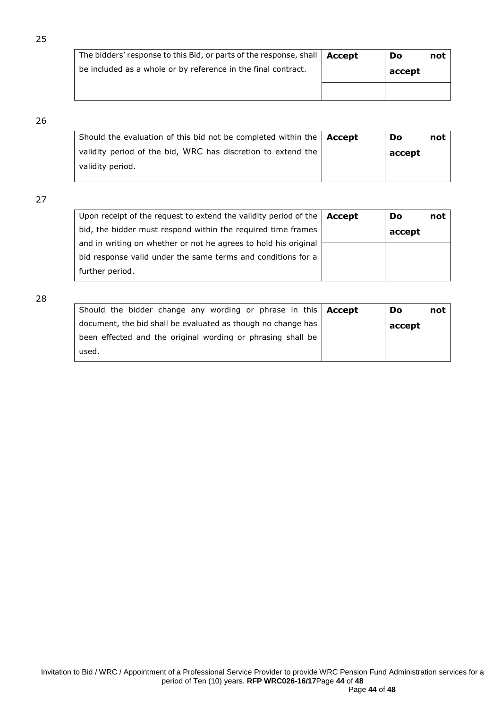| The bidders' response to this Bid, or parts of the response, shall   Accept | Do     | not |
|-----------------------------------------------------------------------------|--------|-----|
| be included as a whole or by reference in the final contract.               | accept |     |
|                                                                             |        |     |

## 26

| Should the evaluation of this bid not be completed within the $\Delta$ Accept | Do     | not |
|-------------------------------------------------------------------------------|--------|-----|
| validity period of the bid, WRC has discretion to extend the                  | accept |     |
| validity period.                                                              |        |     |

## 27

| Upon receipt of the request to extend the validity period of the $ $ Accept | Do     | not |
|-----------------------------------------------------------------------------|--------|-----|
| bid, the bidder must respond within the required time frames                | accept |     |
| and in writing on whether or not he agrees to hold his original             |        |     |
| bid response valid under the same terms and conditions for a                |        |     |
| further period.                                                             |        |     |

| Should the bidder change any wording or phrase in this $ $ Accept | Do     | not |
|-------------------------------------------------------------------|--------|-----|
| document, the bid shall be evaluated as though no change has      | accept |     |
| been effected and the original wording or phrasing shall be       |        |     |
| used.                                                             |        |     |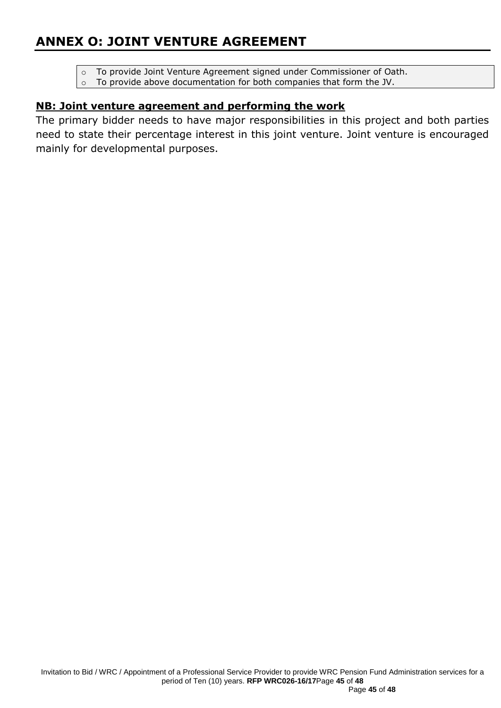# **ANNEX O: JOINT VENTURE AGREEMENT**

- o To provide Joint Venture Agreement signed under Commissioner of Oath.
- o To provide above documentation for both companies that form the JV.

## **NB: Joint venture agreement and performing the work**

The primary bidder needs to have major responsibilities in this project and both parties need to state their percentage interest in this joint venture. Joint venture is encouraged mainly for developmental purposes.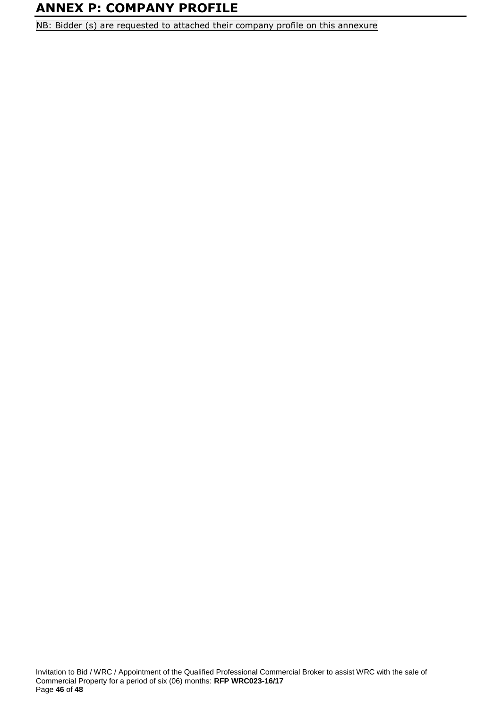# **ANNEX P: COMPANY PROFILE**

NB: Bidder (s) are requested to attached their company profile on this annexure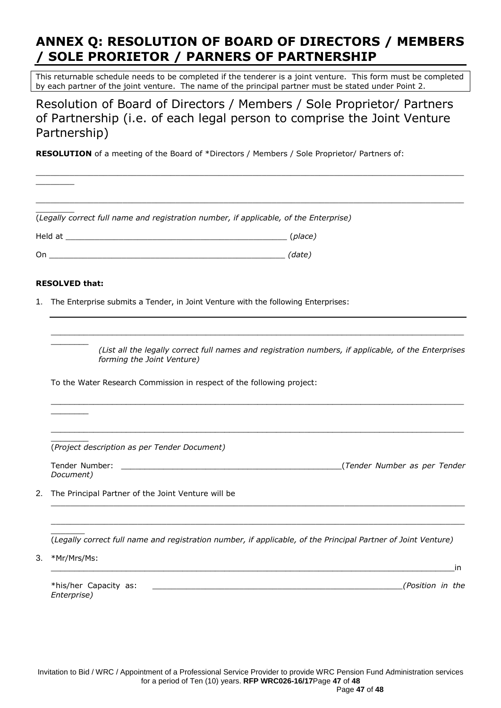# **ANNEX Q: RESOLUTION OF BOARD OF DIRECTORS / MEMBERS / SOLE PRORIETOR / PARNERS OF PARTNERSHIP**

This returnable schedule needs to be completed if the tenderer is a joint venture. This form must be completed by each partner of the joint venture. The name of the principal partner must be stated under Point 2.

Resolution of Board of Directors / Members / Sole Proprietor/ Partners of Partnership (i.e. of each legal person to comprise the Joint Venture Partnership)

**RESOLUTION** of a meeting of the Board of \*Directors / Members / Sole Proprietor/ Partners of:

|    | (Legally correct full name and registration number, if applicable, of the Enterprise)                                              |  |  |  |  |
|----|------------------------------------------------------------------------------------------------------------------------------------|--|--|--|--|
|    |                                                                                                                                    |  |  |  |  |
|    |                                                                                                                                    |  |  |  |  |
|    | <b>RESOLVED that:</b>                                                                                                              |  |  |  |  |
|    | 1. The Enterprise submits a Tender, in Joint Venture with the following Enterprises:                                               |  |  |  |  |
|    |                                                                                                                                    |  |  |  |  |
|    | (List all the legally correct full names and registration numbers, if applicable, of the Enterprises<br>forming the Joint Venture) |  |  |  |  |
|    | To the Water Research Commission in respect of the following project:                                                              |  |  |  |  |
|    |                                                                                                                                    |  |  |  |  |
|    | (Project description as per Tender Document)                                                                                       |  |  |  |  |
|    | Tender Number:<br>Document)                                                                                                        |  |  |  |  |
| 2. | The Principal Partner of the Joint Venture will be                                                                                 |  |  |  |  |
|    | (Legally correct full name and registration number, if applicable, of the Principal Partner of Joint Venture)                      |  |  |  |  |
| 3. | *Mr/Mrs/Ms:<br>in                                                                                                                  |  |  |  |  |
|    | *his/her Capacity as:<br>(Position in the<br>Enterprise)                                                                           |  |  |  |  |